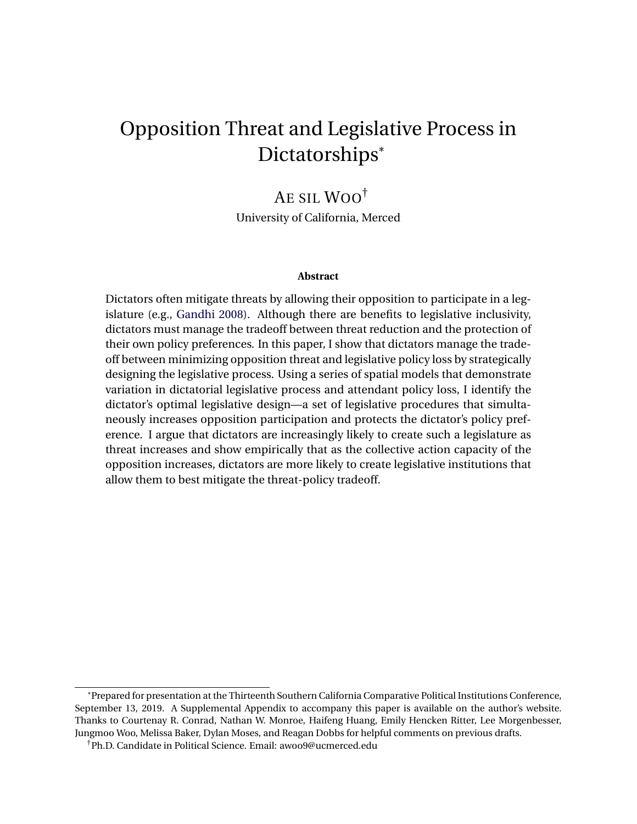# Opposition Threat and Legislative Process in Dictatorships\*

# AE SIL WOO†

University of California, Merced

#### **Abstract**

Dictators often mitigate threats by allowing their opposition to participate in a legislature (e.g., [Gandhi](#page-27-0) [2008\)](#page-27-0). Although there are benefits to legislative inclusivity, dictators must manage the tradeoff between threat reduction and the protection of their own policy preferences. In this paper, I show that dictators manage the tradeoff between minimizing opposition threat and legislative policy loss by strategically designing the legislative process. Using a series of spatial models that demonstrate variation in dictatorial legislative process and attendant policy loss, I identify the dictator's optimal legislative design—a set of legislative procedures that simultaneously increases opposition participation and protects the dictator's policy preference. I argue that dictators are increasingly likely to create such a legislature as threat increases and show empirically that as the collective action capacity of the opposition increases, dictators are more likely to create legislative institutions that allow them to best mitigate the threat-policy tradeoff.

<sup>\*</sup>Prepared for presentation at the Thirteenth Southern California Comparative Political Institutions Conference, September 13, 2019. A Supplemental Appendix to accompany this paper is available on the author's website. Thanks to Courtenay R. Conrad, Nathan W. Monroe, Haifeng Huang, Emily Hencken Ritter, Lee Morgenbesser, Jungmoo Woo, Melissa Baker, Dylan Moses, and Reagan Dobbs for helpful comments on previous drafts.

<sup>†</sup>Ph.D. Candidate in Political Science. Email: awoo9@ucmerced.edu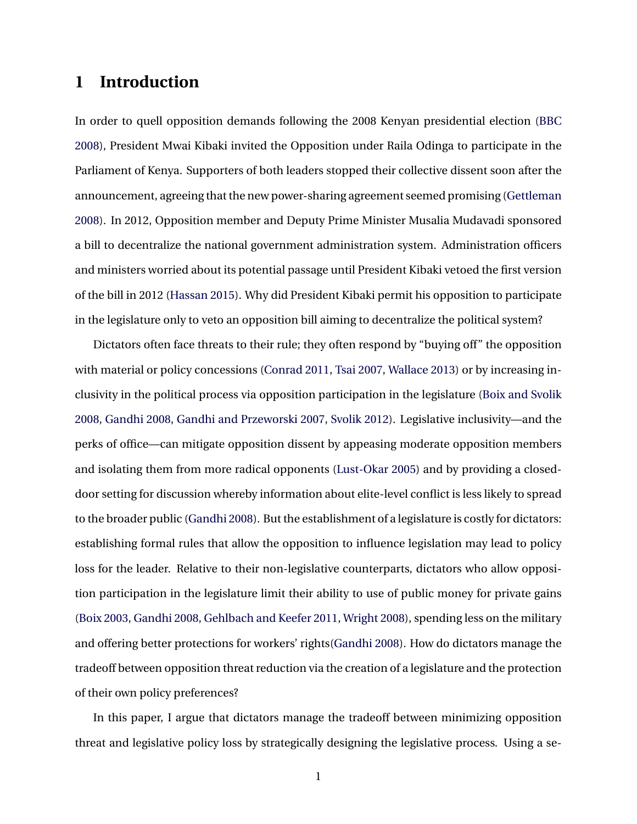# **1 Introduction**

In order to quell opposition demands following the 2008 Kenyan presidential election [\(BBC](#page-26-0) [2008](#page-26-0)), President Mwai Kibaki invited the Opposition under Raila Odinga to participate in the Parliament of Kenya. Supporters of both leaders stopped their collective dissent soon after the announcement, agreeing that the new power-sharing agreement seemed promising [\(Gettleman](#page-28-0) [2008](#page-28-0)). In 2012, Opposition member and Deputy Prime Minister Musalia Mudavadi sponsored a bill to decentralize the national government administration system. Administration officers and ministers worried about its potential passage until President Kibaki vetoed the first version of the bill in 2012 [\(Hassan](#page-28-1) [2015\)](#page-28-1). Why did President Kibaki permit his opposition to participate in the legislature only to veto an opposition bill aiming to decentralize the political system?

Dictators often face threats to their rule; they often respond by "buying off" the opposition with material or policy concessions ([Conrad](#page-27-1) [2011,](#page-27-1) [Tsai](#page-31-0) [2007,](#page-31-0) [Wallace](#page-31-1) [2013\)](#page-31-1) or by increasing inclusivity in the political process via opposition participation in the legislature ([Boix and Svolik](#page-26-1) [2008](#page-26-1), [Gandhi](#page-27-0) [2008](#page-27-0), [Gandhi and Przeworski](#page-28-2) [2007](#page-28-2), [Svolik](#page-31-2) [2012\)](#page-31-2). Legislative inclusivity—and the perks of office—can mitigate opposition dissent by appeasing moderate opposition members and isolating them from more radical opponents ([Lust-Okar](#page-30-0) [2005\)](#page-30-0) and by providing a closeddoor setting for discussion whereby information about elite-level conflict is less likely to spread to the broader public [\(Gandhi](#page-27-0) [2008](#page-27-0)). But the establishment of a legislature is costly for dictators: establishing formal rules that allow the opposition to influence legislation may lead to policy loss for the leader. Relative to their non-legislative counterparts, dictators who allow opposition participation in the legislature limit their ability to use of public money for private gains ([Boix](#page-26-2) [2003](#page-26-2), [Gandhi](#page-27-0) [2008,](#page-27-0) [Gehlbach and Keefer](#page-28-3) [2011,](#page-28-3) [Wright](#page-31-3) [2008](#page-31-3)), spending less on the military and offering better protections for workers' rights[\(Gandhi](#page-27-0) [2008\)](#page-27-0). How do dictators manage the tradeoff between opposition threat reduction via the creation of a legislature and the protection of their own policy preferences?

In this paper, I argue that dictators manage the tradeoff between minimizing opposition threat and legislative policy loss by strategically designing the legislative process. Using a se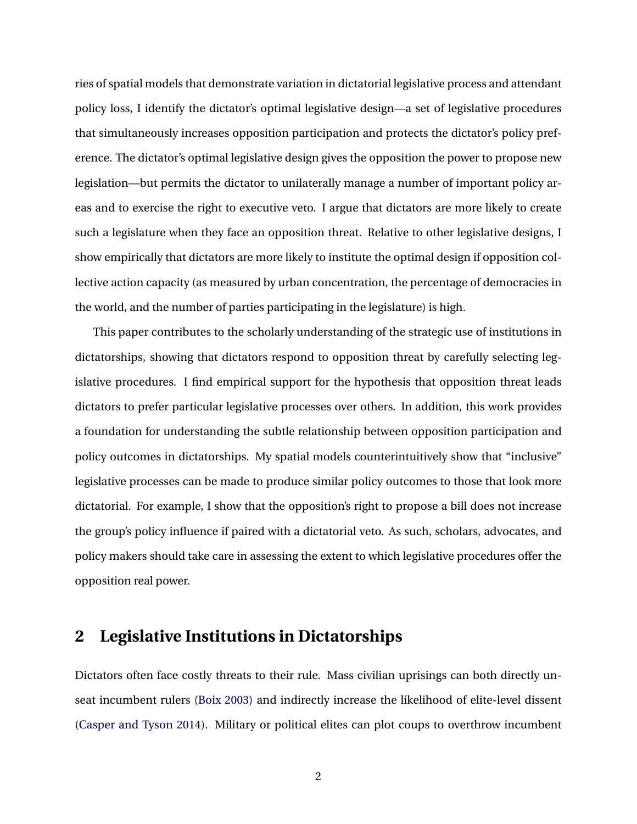ries of spatial models that demonstrate variation in dictatorial legislative process and attendant policy loss, I identify the dictator's optimal legislative design—a set of legislative procedures that simultaneously increases opposition participation and protects the dictator's policy preference. The dictator's optimal legislative design gives the opposition the power to propose new legislation—but permits the dictator to unilaterally manage a number of important policy areas and to exercise the right to executive veto. I argue that dictators are more likely to create such a legislature when they face an opposition threat. Relative to other legislative designs, I show empirically that dictators are more likely to institute the optimal design if opposition collective action capacity (as measured by urban concentration, the percentage of democracies in the world, and the number of parties participating in the legislature) is high.

This paper contributes to the scholarly understanding of the strategic use of institutions in dictatorships, showing that dictators respond to opposition threat by carefully selecting legislative procedures. I find empirical support for the hypothesis that opposition threat leads dictators to prefer particular legislative processes over others. In addition, this work provides a foundation for understanding the subtle relationship between opposition participation and policy outcomes in dictatorships. My spatial models counterintuitively show that "inclusive" legislative processes can be made to produce similar policy outcomes to those that look more dictatorial. For example, I show that the opposition's right to propose a bill does not increase the group's policy influence if paired with a dictatorial veto. As such, scholars, advocates, and policy makers should take care in assessing the extent to which legislative procedures offer the opposition real power.

### **2 Legislative Institutions in Dictatorships**

Dictators often face costly threats to their rule. Mass civilian uprisings can both directly unseat incumbent rulers ([Boix](#page-26-2) [2003](#page-26-2)) and indirectly increase the likelihood of elite-level dissent ([Casper and Tyson](#page-27-2) [2014](#page-27-2)). Military or political elites can plot coups to overthrow incumbent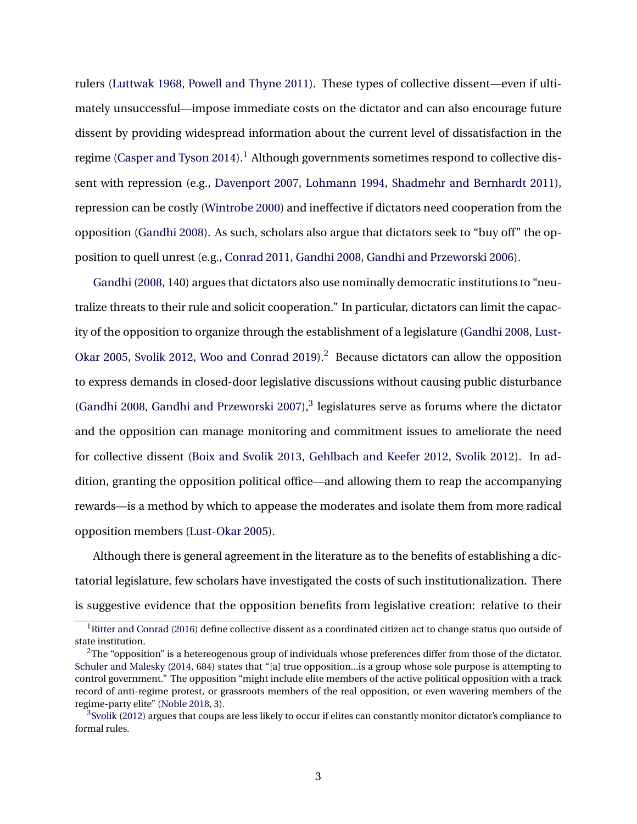rulers ([Luttwak](#page-30-1) [1968,](#page-30-1) [Powell and Thyne](#page-30-2) [2011](#page-30-2)). These types of collective dissent—even if ultimately unsuccessful—impose immediate costs on the dictator and can also encourage future dissent by providing widespread information about the current level of dissatisfaction in the regime ([Casper and Tyson](#page-27-2) [2014\)](#page-27-2).<sup>[1](#page-3-0)</sup> Although governments sometimes respond to collective dissent with repression (e.g., [Davenport](#page-27-3) [2007](#page-27-3), [Lohmann](#page-29-0) [1994,](#page-29-0) [Shadmehr and Bernhardt](#page-31-4) [2011](#page-31-4)), repression can be costly ([Wintrobe](#page-31-5) [2000](#page-31-5)) and ineffective if dictators need cooperation from the opposition ([Gandhi](#page-27-0) [2008\)](#page-27-0). As such, scholars also argue that dictators seek to "buy off" the opposition to quell unrest (e.g., [Conrad](#page-27-1) [2011](#page-27-1), [Gandhi](#page-27-0) [2008](#page-27-0), [Gandhi and Przeworski](#page-28-4) [2006\)](#page-28-4).

[Gandhi](#page-27-0) [\(2008,](#page-27-0) 140) argues that dictators also use nominally democratic institutions to "neutralize threats to their rule and solicit cooperation." In particular, dictators can limit the capacity of the opposition to organize through the establishment of a legislature [\(Gandhi](#page-27-0) [2008,](#page-27-0) [Lust-](#page-30-0)[Okar](#page-30-0) [2005,](#page-30-0) [Svolik](#page-31-2) [2012,](#page-31-2) [Woo and Conrad](#page-31-6) [2019\)](#page-31-6).<sup>[2](#page-3-1)</sup> Because dictators can allow the opposition to express demands in closed-door legislative discussions without causing public disturbance ([Gandhi](#page-27-0) [2008,](#page-27-0) [Gandhi and Przeworski](#page-28-2) [2007\)](#page-28-2), $3$  legislatures serve as forums where the dictator and the opposition can manage monitoring and commitment issues to ameliorate the need for collective dissent ([Boix and Svolik](#page-26-3) [2013](#page-26-3), [Gehlbach and Keefer](#page-28-5) [2012](#page-28-5), [Svolik](#page-31-2) [2012\)](#page-31-2). In addition, granting the opposition political office—and allowing them to reap the accompanying rewards—is a method by which to appease the moderates and isolate them from more radical opposition members [\(Lust-Okar](#page-30-0) [2005\)](#page-30-0).

Although there is general agreement in the literature as to the benefits of establishing a dictatorial legislature, few scholars have investigated the costs of such institutionalization. There is suggestive evidence that the opposition benefits from legislative creation: relative to their

<span id="page-3-0"></span> $1$ [Ritter and Conrad](#page-30-3) ([2016](#page-30-3)) define collective dissent as a coordinated citizen act to change status quo outside of state institution.

<span id="page-3-1"></span> $^{2}$ The "opposition" is a hetereogenous group of individuals whose preferences differ from those of the dictator. [Schuler and Malesky](#page-31-7) [\(2014,](#page-31-7) 684) states that "[a] true opposition...is a group whose sole purpose is attempting to control government." The opposition "might include elite members of the active political opposition with a track record of anti-regime protest, or grassroots members of the real opposition, or even wavering members of the regime-party elite" ([Noble](#page-30-4) [2018](#page-30-4), 3).

<span id="page-3-2"></span><sup>&</sup>lt;sup>3</sup>[Svolik](#page-31-2) ([2012](#page-31-2)) argues that coups are less likely to occur if elites can constantly monitor dictator's compliance to formal rules.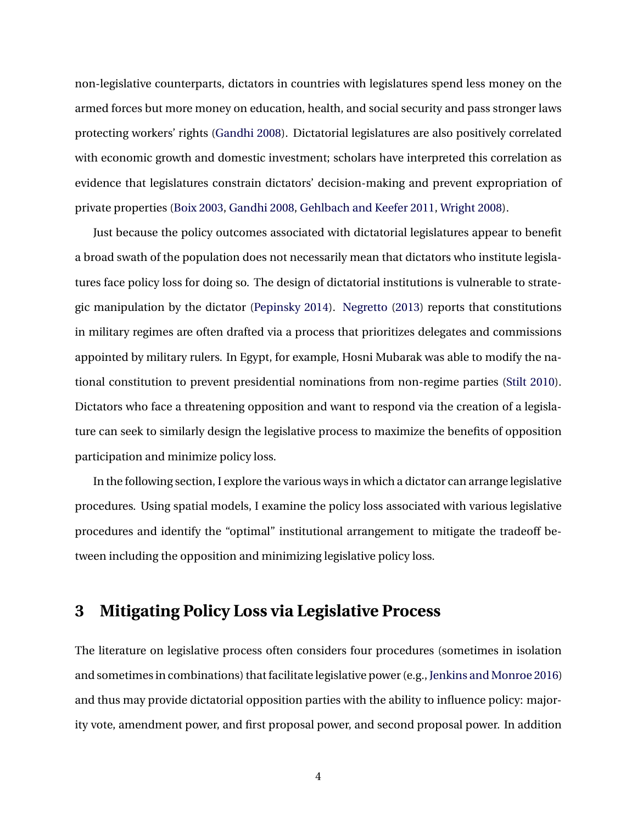non-legislative counterparts, dictators in countries with legislatures spend less money on the armed forces but more money on education, health, and social security and pass stronger laws protecting workers' rights [\(Gandhi](#page-27-0) [2008](#page-27-0)). Dictatorial legislatures are also positively correlated with economic growth and domestic investment; scholars have interpreted this correlation as evidence that legislatures constrain dictators' decision-making and prevent expropriation of private properties [\(Boix](#page-26-2) [2003,](#page-26-2) [Gandhi](#page-27-0) [2008,](#page-27-0) [Gehlbach and Keefer](#page-28-3) [2011,](#page-28-3) [Wright](#page-31-3) [2008\)](#page-31-3).

Just because the policy outcomes associated with dictatorial legislatures appear to benefit a broad swath of the population does not necessarily mean that dictators who institute legislatures face policy loss for doing so. The design of dictatorial institutions is vulnerable to strategic manipulation by the dictator [\(Pepinsky](#page-30-5) [2014\)](#page-30-5). [Negretto](#page-30-6) [\(2013\)](#page-30-6) reports that constitutions in military regimes are often drafted via a process that prioritizes delegates and commissions appointed by military rulers. In Egypt, for example, Hosni Mubarak was able to modify the national constitution to prevent presidential nominations from non-regime parties ([Stilt](#page-31-8) [2010](#page-31-8)). Dictators who face a threatening opposition and want to respond via the creation of a legislature can seek to similarly design the legislative process to maximize the benefits of opposition participation and minimize policy loss.

In the following section, I explore the various ways in which a dictator can arrange legislative procedures. Using spatial models, I examine the policy loss associated with various legislative procedures and identify the "optimal" institutional arrangement to mitigate the tradeoff between including the opposition and minimizing legislative policy loss.

# **3 Mitigating Policy Loss via Legislative Process**

The literature on legislative process often considers four procedures (sometimes in isolation and sometimes in combinations) that facilitate legislative power (e.g., [Jenkins and Monroe](#page-29-1) [2016\)](#page-29-1) and thus may provide dictatorial opposition parties with the ability to influence policy: majority vote, amendment power, and first proposal power, and second proposal power. In addition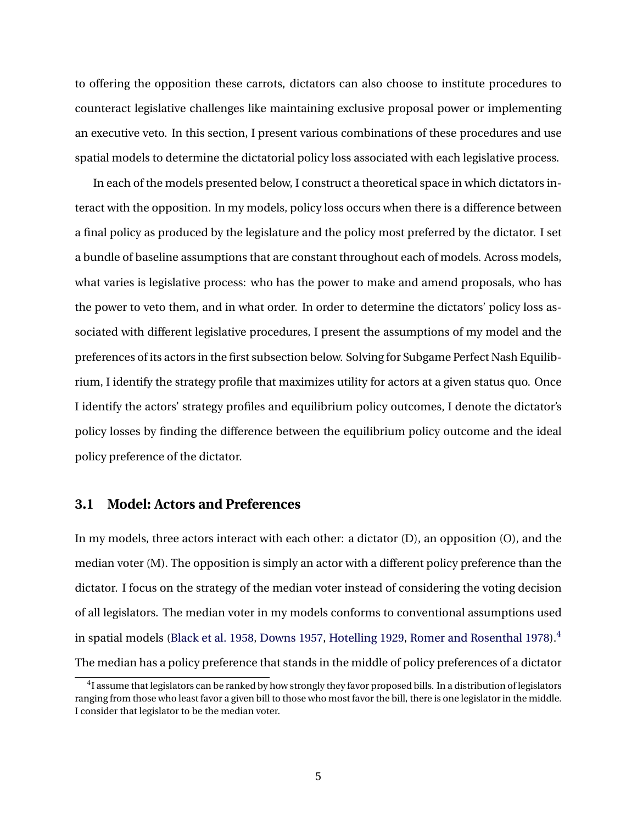to offering the opposition these carrots, dictators can also choose to institute procedures to counteract legislative challenges like maintaining exclusive proposal power or implementing an executive veto. In this section, I present various combinations of these procedures and use spatial models to determine the dictatorial policy loss associated with each legislative process.

In each of the models presented below, I construct a theoretical space in which dictators interact with the opposition. In my models, policy loss occurs when there is a difference between a final policy as produced by the legislature and the policy most preferred by the dictator. I set a bundle of baseline assumptions that are constant throughout each of models. Across models, what varies is legislative process: who has the power to make and amend proposals, who has the power to veto them, and in what order. In order to determine the dictators' policy loss associated with different legislative procedures, I present the assumptions of my model and the preferences of its actors in the first subsection below. Solving for Subgame Perfect Nash Equilibrium, I identify the strategy profile that maximizes utility for actors at a given status quo. Once I identify the actors' strategy profiles and equilibrium policy outcomes, I denote the dictator's policy losses by finding the difference between the equilibrium policy outcome and the ideal policy preference of the dictator.

### **3.1 Model: Actors and Preferences**

In my models, three actors interact with each other: a dictator (D), an opposition (O), and the median voter (M). The opposition is simply an actor with a different policy preference than the dictator. I focus on the strategy of the median voter instead of considering the voting decision of all legislators. The median voter in my models conforms to conventional assumptions used in spatial models ([Black et al.](#page-26-4) [1958](#page-26-4), [Downs](#page-27-4) [1957,](#page-27-4) [Hotelling](#page-29-2) [1929,](#page-29-2) [Romer and Rosenthal](#page-30-7) [1978](#page-30-7)).<sup>[4](#page-5-0)</sup> The median has a policy preference that stands in the middle of policy preferences of a dictator

<span id="page-5-0"></span> $^4$ I assume that legislators can be ranked by how strongly they favor proposed bills. In a distribution of legislators ranging from those who least favor a given bill to those who most favor the bill, there is one legislator in the middle. I consider that legislator to be the median voter.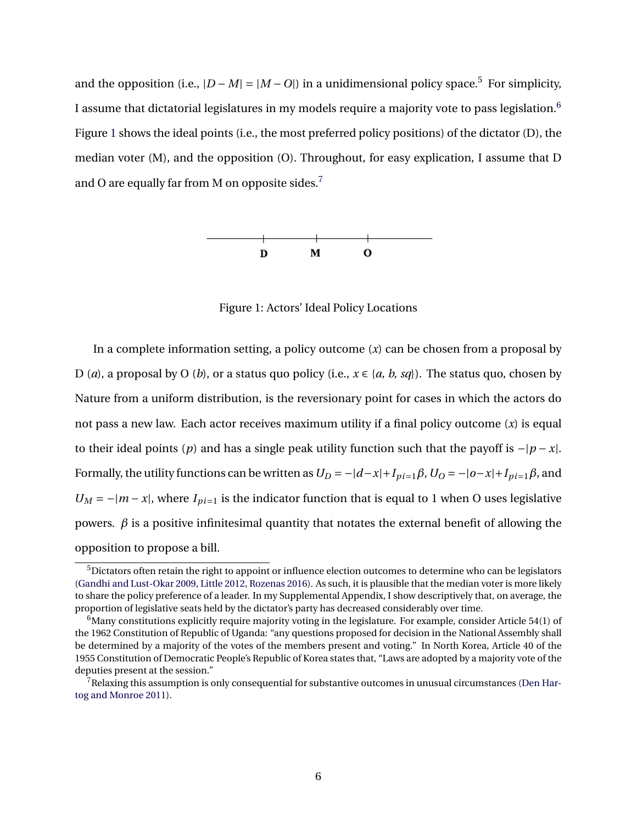<span id="page-6-2"></span>and the opposition (i.e.,  $|D - M| = |M - O|$ ) in a unidimensional policy space.<sup>[5](#page-6-0)</sup> For simplicity, I assume that dictatorial legislatures in my models require a majority vote to pass legislation.[6](#page-6-1) Figure [1](#page-6-2) shows the ideal points (i.e., the most preferred policy positions) of the dictator (D), the median voter (M), and the opposition (O). Throughout, for easy explication, I assume that D and O are equally far from M on opposite sides.<sup>[7](#page-6-3)</sup>



Figure 1: Actors' Ideal Policy Locations

In a complete information setting, a policy outcome (*x*) can be chosen from a proposal by D (*a*), a proposal by O (*b*), or a status quo policy (i.e.,  $x \in \{a, b, sq\}$ ). The status quo, chosen by Nature from a uniform distribution, is the reversionary point for cases in which the actors do not pass a new law. Each actor receives maximum utility if a final policy outcome (*x*) is equal to their ideal points (*p*) and has a single peak utility function such that the payoff is *−|p − x|*. Formally, the utility functions can be written as  $U_D = -|d-x| + I_{pi=1}\beta$ ,  $U_O = -|o-x| + I_{pi=1}\beta$ , and  $U_M = -|m - x|$ , where  $I_{pi=1}$  is the indicator function that is equal to 1 when O uses legislative powers. *β* is a positive infinitesimal quantity that notates the external benefit of allowing the opposition to propose a bill.

<span id="page-6-0"></span><sup>&</sup>lt;sup>5</sup>Dictators often retain the right to appoint or influence election outcomes to determine who can be legislators [\(Gandhi and Lust-Okar](#page-28-6) [2009](#page-28-6), [Little](#page-29-3) [2012](#page-29-3), [Rozenas](#page-31-9) [2016](#page-31-9)). As such, it is plausible that the median voter is more likely to share the policy preference of a leader. In my Supplemental Appendix, I show descriptively that, on average, the proportion of legislative seats held by the dictator's party has decreased considerably over time.

<span id="page-6-1"></span> $6$ Many constitutions explicitly require majority voting in the legislature. For example, consider Article 54(1) of the 1962 Constitution of Republic of Uganda: "any questions proposed for decision in the National Assembly shall be determined by a majority of the votes of the members present and voting." In North Korea, Article 40 of the 1955 Constitution of Democratic People's Republic of Korea states that, "Laws are adopted by a majority vote of the deputies present at the session."

<span id="page-6-3"></span> $^{7}$ Relaxing this assumption is only consequential for substantive outcomes in unusual circumstances ([Den Har](#page-27-5)[tog and Monroe](#page-27-5) [2011\)](#page-27-5).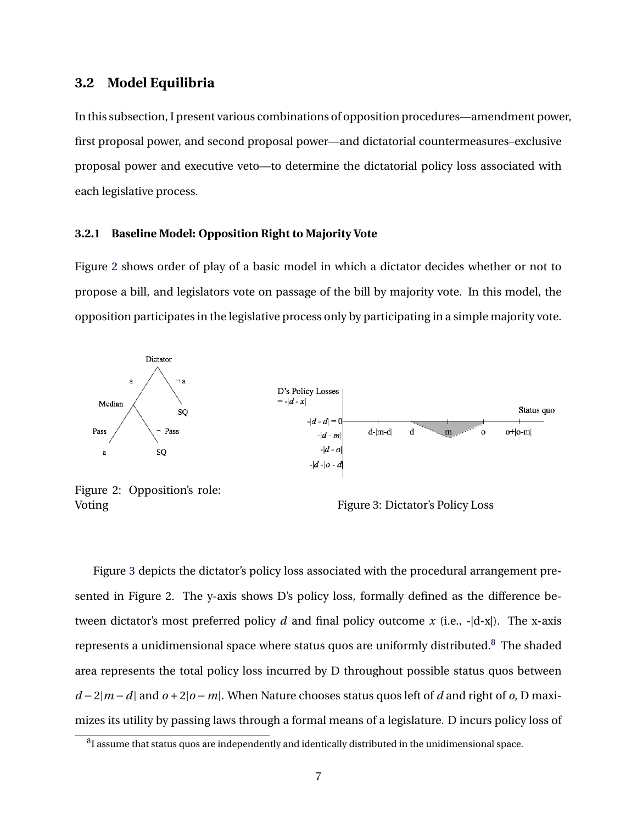### **3.2 Model Equilibria**

In this subsection, I present various combinations of opposition procedures—amendment power, first proposal power, and second proposal power—and dictatorial countermeasures–exclusive proposal power and executive veto—to determine the dictatorial policy loss associated with each legislative process.

#### **3.2.1 Baseline Model: Opposition Right to Majority Vote**

Figure [2](#page-7-0) shows order of play of a basic model in which a dictator decides whether or not to propose a bill, and legislators vote on passage of the bill by majority vote. In this model, the opposition participates in the legislative process only by participating in a simple majority vote.

<span id="page-7-0"></span>

Figure [3](#page-7-0) depicts the dictator's policy loss associated with the procedural arrangement presented in Figure 2. The y-axis shows D's policy loss, formally defined as the difference between dictator's most preferred policy *d* and final policy outcome *x* (i.e., -|d-x|). The x-axis represents a unidimensional space where status quos are uniformly distributed.[8](#page-7-1) The shaded area represents the total policy loss incurred by D throughout possible status quos between *d −*2*|m −d|* and *o +*2*|o −m|*. When Nature chooses status quos left of *d* and right of *o*, D maximizes its utility by passing laws through a formal means of a legislature. D incurs policy loss of

<span id="page-7-1"></span> ${}^{8}$ I assume that status quos are independently and identically distributed in the unidimensional space.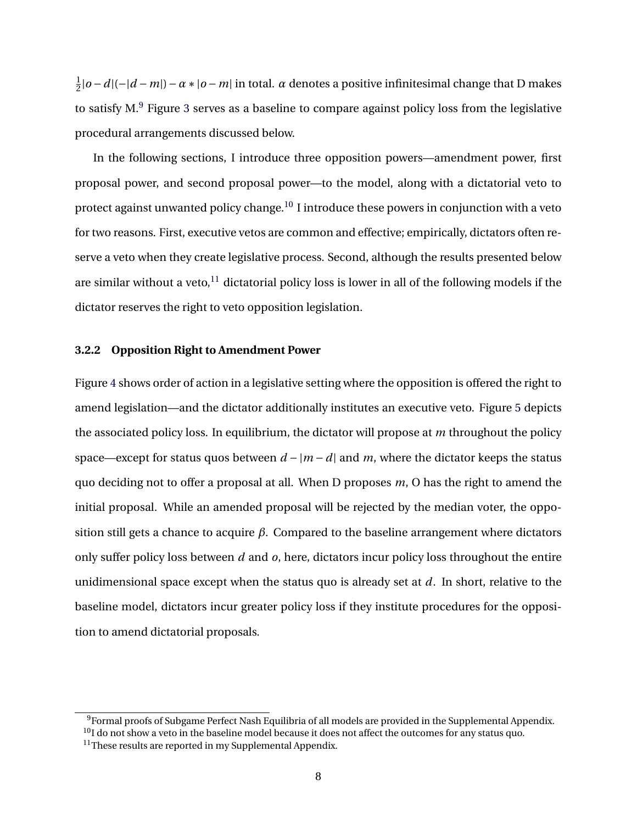1 2 *|o −d|*(*−|d −m|*)*−α∗|o −m|* in total. *α* denotes a positive infinitesimal change that D makes to satisfy  $M<sup>9</sup>$  $M<sup>9</sup>$  $M<sup>9</sup>$  Figure [3](#page-7-0) serves as a baseline to compare against policy loss from the legislative procedural arrangements discussed below.

In the following sections, I introduce three opposition powers—amendment power, first proposal power, and second proposal power—to the model, along with a dictatorial veto to protect against unwanted policy change.<sup>[10](#page-8-1)</sup> I introduce these powers in conjunction with a veto for two reasons. First, executive vetos are common and effective; empirically, dictators often reserve a veto when they create legislative process. Second, although the results presented below are similar without a veto, $^{11}$  $^{11}$  $^{11}$  dictatorial policy loss is lower in all of the following models if the dictator reserves the right to veto opposition legislation.

#### **3.2.2 Opposition Right to Amendment Power**

Figure [4](#page-9-0) shows order of action in a legislative setting where the opposition is offered the right to amend legislation—and the dictator additionally institutes an executive veto. Figure [5](#page-9-0) depicts the associated policy loss. In equilibrium, the dictator will propose at *m* throughout the policy space—except for status quos between  $d - |m - d|$  and  $m$ , where the dictator keeps the status quo deciding not to offer a proposal at all. When D proposes *m*, O has the right to amend the initial proposal. While an amended proposal will be rejected by the median voter, the opposition still gets a chance to acquire *β*. Compared to the baseline arrangement where dictators only suffer policy loss between *d* and *o*, here, dictators incur policy loss throughout the entire unidimensional space except when the status quo is already set at *d*. In short, relative to the baseline model, dictators incur greater policy loss if they institute procedures for the opposition to amend dictatorial proposals.

<span id="page-8-0"></span><sup>&</sup>lt;sup>9</sup>Formal proofs of Subgame Perfect Nash Equilibria of all models are provided in the Supplemental Appendix.

<span id="page-8-1"></span> $10$ I do not show a veto in the baseline model because it does not affect the outcomes for any status quo.

<span id="page-8-2"></span> $11$ These results are reported in my Supplemental Appendix.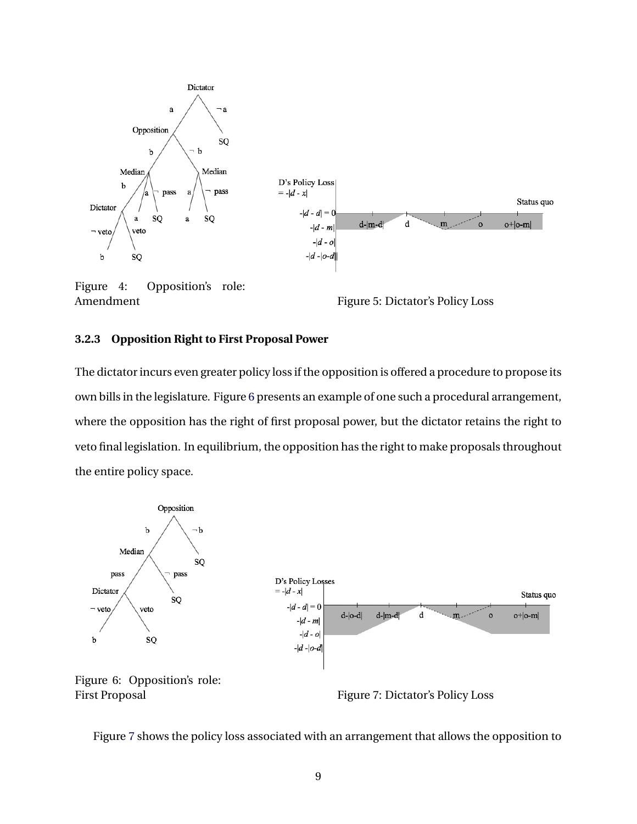<span id="page-9-0"></span>

Figure 4: Opposition's role: Amendment Figure 5: Dictator's Policy Loss

#### **3.2.3 Opposition Right to First Proposal Power**

The dictator incurs even greater policy loss if the opposition is offered a procedure to propose its own bills in the legislature. Figure [6](#page-9-1) presents an example of one such a procedural arrangement, where the opposition has the right of first proposal power, but the dictator retains the right to veto final legislation. In equilibrium, the opposition has the right to make proposals throughout the entire policy space.

<span id="page-9-1"></span>

First Proposal Figure 7: Dictator's Policy Loss

Figure [7](#page-9-1) shows the policy loss associated with an arrangement that allows the opposition to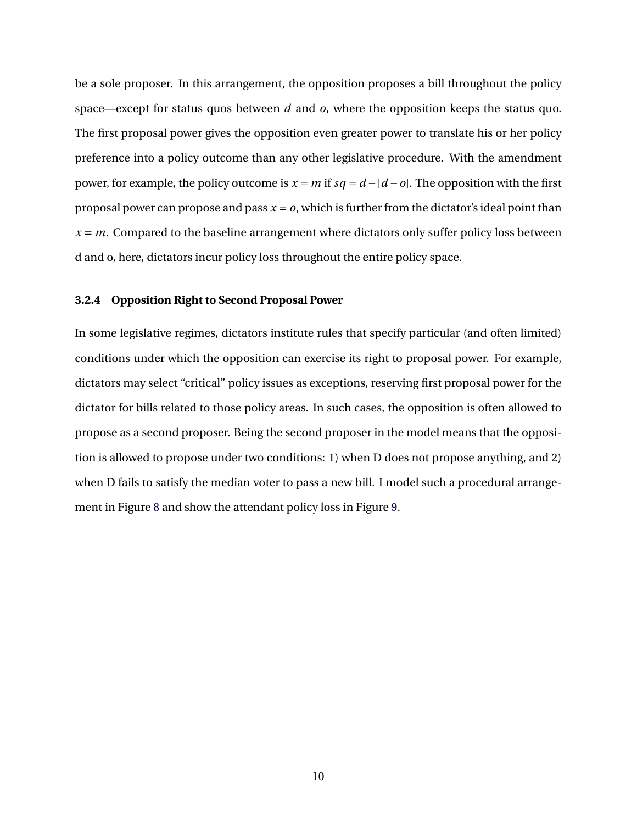be a sole proposer. In this arrangement, the opposition proposes a bill throughout the policy space—except for status quos between *d* and *o*, where the opposition keeps the status quo. The first proposal power gives the opposition even greater power to translate his or her policy preference into a policy outcome than any other legislative procedure. With the amendment power, for example, the policy outcome is  $x = m$  if  $sq = d - |d - o|$ . The opposition with the first proposal power can propose and pass  $x = 0$ , which is further from the dictator's ideal point than  $x = m$ . Compared to the baseline arrangement where dictators only suffer policy loss between d and o, here, dictators incur policy loss throughout the entire policy space.

#### **3.2.4 Opposition Right to Second Proposal Power**

In some legislative regimes, dictators institute rules that specify particular (and often limited) conditions under which the opposition can exercise its right to proposal power. For example, dictators may select "critical" policy issues as exceptions, reserving first proposal power for the dictator for bills related to those policy areas. In such cases, the opposition is often allowed to propose as a second proposer. Being the second proposer in the model means that the opposition is allowed to propose under two conditions: 1) when D does not propose anything, and 2) when D fails to satisfy the median voter to pass a new bill. I model such a procedural arrangement in Figure [8](#page-11-0) and show the attendant policy loss in Figure [9](#page-11-0).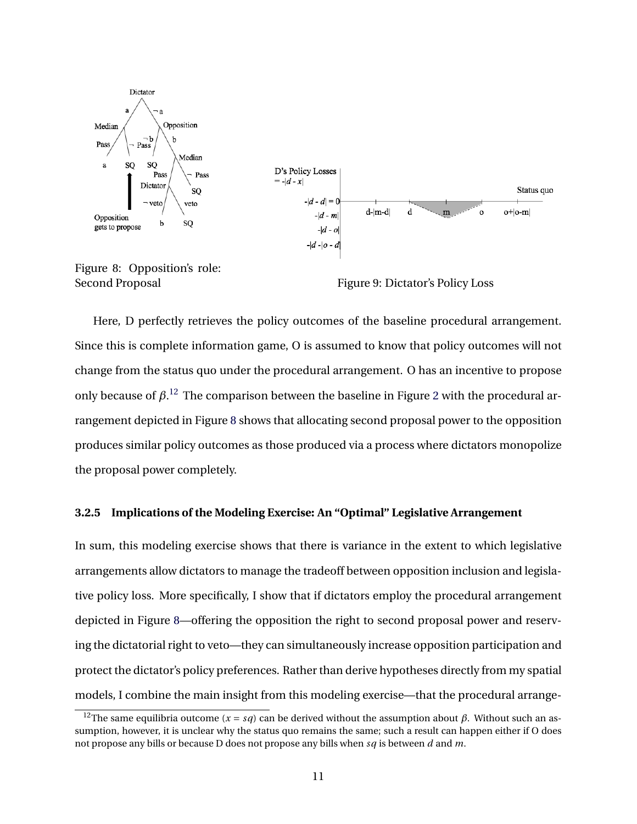<span id="page-11-0"></span>



Second Proposal Figure 9: Dictator's Policy Loss

Here, D perfectly retrieves the policy outcomes of the baseline procedural arrangement. Since this is complete information game, O is assumed to know that policy outcomes will not change from the status quo under the procedural arrangement. O has an incentive to propose only because of  $\beta$ <sup>[12](#page-11-1)</sup>. The comparison between the baseline in Figure [2](#page-7-0) with the procedural arrangement depicted in Figure [8](#page-11-0) shows that allocating second proposal power to the opposition produces similar policy outcomes as those produced via a process where dictators monopolize the proposal power completely.

#### **3.2.5 Implications of the Modeling Exercise: An "Optimal" Legislative Arrangement**

In sum, this modeling exercise shows that there is variance in the extent to which legislative arrangements allow dictators to manage the tradeoff between opposition inclusion and legislative policy loss. More specifically, I show that if dictators employ the procedural arrangement depicted in Figure [8—](#page-11-0)offering the opposition the right to second proposal power and reserving the dictatorial right to veto—they can simultaneously increase opposition participation and protect the dictator's policy preferences. Rather than derive hypotheses directly from my spatial models, I combine the main insight from this modeling exercise—that the procedural arrange-

<span id="page-11-1"></span><sup>&</sup>lt;sup>12</sup>The same equilibria outcome ( $x = sq$ ) can be derived without the assumption about  $\beta$ . Without such an assumption, however, it is unclear why the status quo remains the same; such a result can happen either if O does not propose any bills or because D does not propose any bills when *sq* is between *d* and *m*.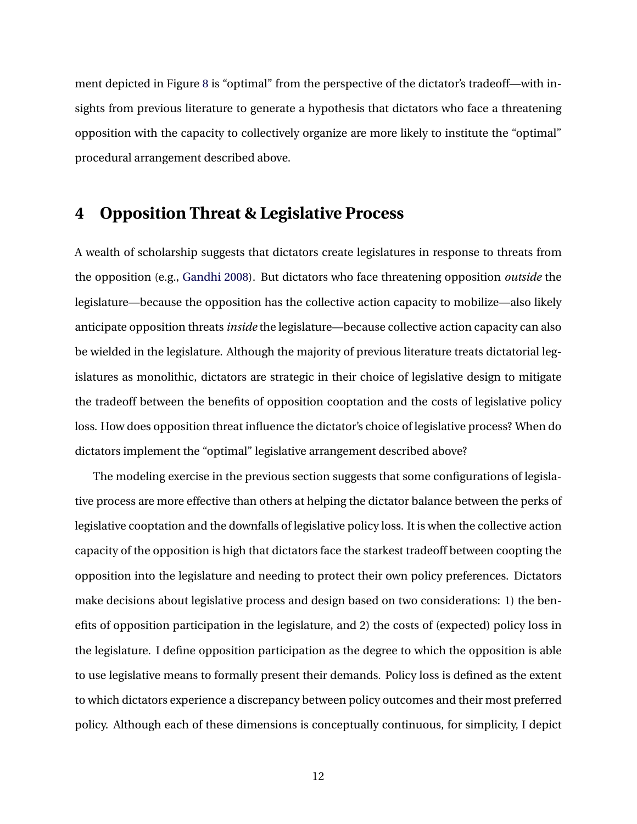ment depicted in Figure [8](#page-11-0) is "optimal" from the perspective of the dictator's tradeoff—with insights from previous literature to generate a hypothesis that dictators who face a threatening opposition with the capacity to collectively organize are more likely to institute the "optimal" procedural arrangement described above.

### **4 Opposition Threat & Legislative Process**

A wealth of scholarship suggests that dictators create legislatures in response to threats from the opposition (e.g., [Gandhi](#page-27-0) [2008\)](#page-27-0). But dictators who face threatening opposition *outside* the legislature—because the opposition has the collective action capacity to mobilize—also likely anticipate opposition threats *inside* the legislature—because collective action capacity can also be wielded in the legislature. Although the majority of previous literature treats dictatorial legislatures as monolithic, dictators are strategic in their choice of legislative design to mitigate the tradeoff between the benefits of opposition cooptation and the costs of legislative policy loss. How does opposition threat influence the dictator's choice of legislative process? When do dictators implement the "optimal" legislative arrangement described above?

The modeling exercise in the previous section suggests that some configurations of legislative process are more effective than others at helping the dictator balance between the perks of legislative cooptation and the downfalls of legislative policy loss. It is when the collective action capacity of the opposition is high that dictators face the starkest tradeoff between coopting the opposition into the legislature and needing to protect their own policy preferences. Dictators make decisions about legislative process and design based on two considerations: 1) the benefits of opposition participation in the legislature, and 2) the costs of (expected) policy loss in the legislature. I define opposition participation as the degree to which the opposition is able to use legislative means to formally present their demands. Policy loss is defined as the extent to which dictators experience a discrepancy between policy outcomes and their most preferred policy. Although each of these dimensions is conceptually continuous, for simplicity, I depict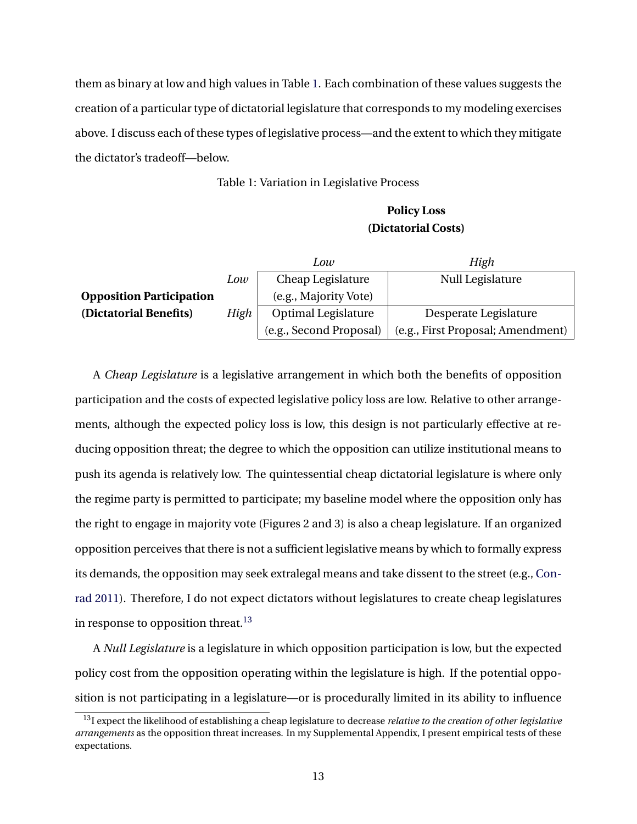them as binary at low and high values in Table [1.](#page-13-0) Each combination of these values suggests the creation of a particular type of dictatorial legislature that corresponds to my modeling exercises above. I discuss each of these types of legislative process—and the extent to which they mitigate the dictator's tradeoff—below.

Table 1: Variation in Legislative Process

### **Policy Loss (Dictatorial Costs)**

<span id="page-13-0"></span>

|                                 |      | Low                     | High                              |  |  |
|---------------------------------|------|-------------------------|-----------------------------------|--|--|
|                                 | Low  | Cheap Legislature       | Null Legislature                  |  |  |
| <b>Opposition Participation</b> |      | (e.g., Majority Vote)   |                                   |  |  |
| (Dictatorial Benefits)          | High | Optimal Legislature     | Desperate Legislature             |  |  |
|                                 |      | (e.g., Second Proposal) | (e.g., First Proposal; Amendment) |  |  |

A *Cheap Legislature* is a legislative arrangement in which both the benefits of opposition participation and the costs of expected legislative policy loss are low. Relative to other arrangements, although the expected policy loss is low, this design is not particularly effective at reducing opposition threat; the degree to which the opposition can utilize institutional means to push its agenda is relatively low. The quintessential cheap dictatorial legislature is where only the regime party is permitted to participate; my baseline model where the opposition only has the right to engage in majority vote (Figures 2 and 3) is also a cheap legislature. If an organized opposition perceives that there is not a sufficient legislative means by which to formally express its demands, the opposition may seek extralegal means and take dissent to the street (e.g., [Con](#page-27-1)[rad](#page-27-1) [2011\)](#page-27-1). Therefore, I do not expect dictators without legislatures to create cheap legislatures in response to opposition threat.<sup>[13](#page-13-1)</sup>

A *Null Legislature* is a legislature in which opposition participation is low, but the expected policy cost from the opposition operating within the legislature is high. If the potential opposition is not participating in a legislature—or is procedurally limited in its ability to influence

<span id="page-13-1"></span><sup>13</sup>I expect the likelihood of establishing a cheap legislature to decrease *relative to the creation of other legislative arrangements* as the opposition threat increases. In my Supplemental Appendix, I present empirical tests of these expectations.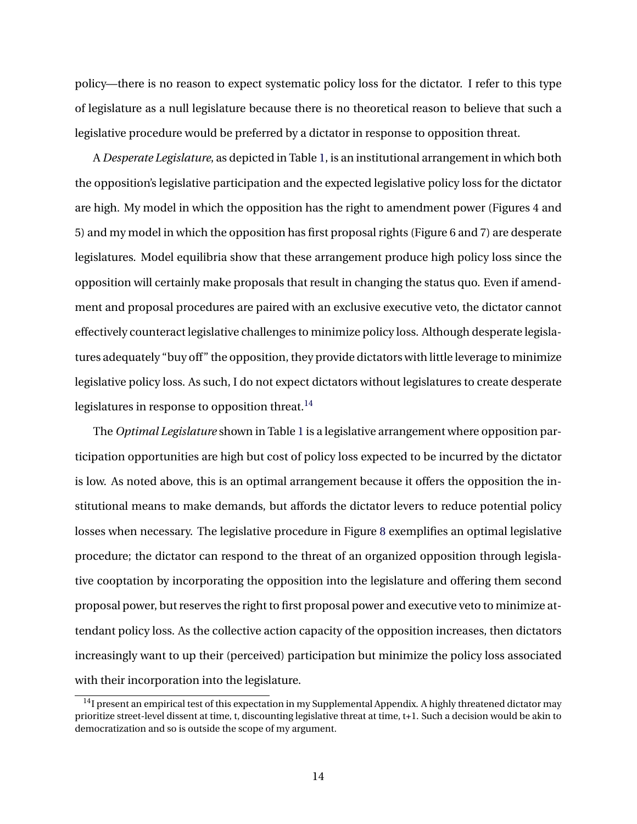policy—there is no reason to expect systematic policy loss for the dictator. I refer to this type of legislature as a null legislature because there is no theoretical reason to believe that such a legislative procedure would be preferred by a dictator in response to opposition threat.

A *Desperate Legislature*, as depicted in Table [1,](#page-13-0) is an institutional arrangement in which both the opposition's legislative participation and the expected legislative policy loss for the dictator are high. My model in which the opposition has the right to amendment power (Figures 4 and 5) and my model in which the opposition has first proposal rights (Figure 6 and 7) are desperate legislatures. Model equilibria show that these arrangement produce high policy loss since the opposition will certainly make proposals that result in changing the status quo. Even if amendment and proposal procedures are paired with an exclusive executive veto, the dictator cannot effectively counteract legislative challenges to minimize policy loss. Although desperate legislatures adequately "buy off" the opposition, they provide dictators with little leverage to minimize legislative policy loss. As such, I do not expect dictators without legislatures to create desperate legislatures in response to opposition threat. $^{14}$  $^{14}$  $^{14}$ 

The *Optimal Legislature* shown in Table [1](#page-13-0) is a legislative arrangement where opposition participation opportunities are high but cost of policy loss expected to be incurred by the dictator is low. As noted above, this is an optimal arrangement because it offers the opposition the institutional means to make demands, but affords the dictator levers to reduce potential policy losses when necessary. The legislative procedure in Figure [8](#page-11-0) exemplifies an optimal legislative procedure; the dictator can respond to the threat of an organized opposition through legislative cooptation by incorporating the opposition into the legislature and offering them second proposal power, but reserves the right to first proposal power and executive veto to minimize attendant policy loss. As the collective action capacity of the opposition increases, then dictators increasingly want to up their (perceived) participation but minimize the policy loss associated with their incorporation into the legislature.

<span id="page-14-0"></span> $14$ I present an empirical test of this expectation in my Supplemental Appendix. A highly threatened dictator may prioritize street-level dissent at time, t, discounting legislative threat at time, t+1. Such a decision would be akin to democratization and so is outside the scope of my argument.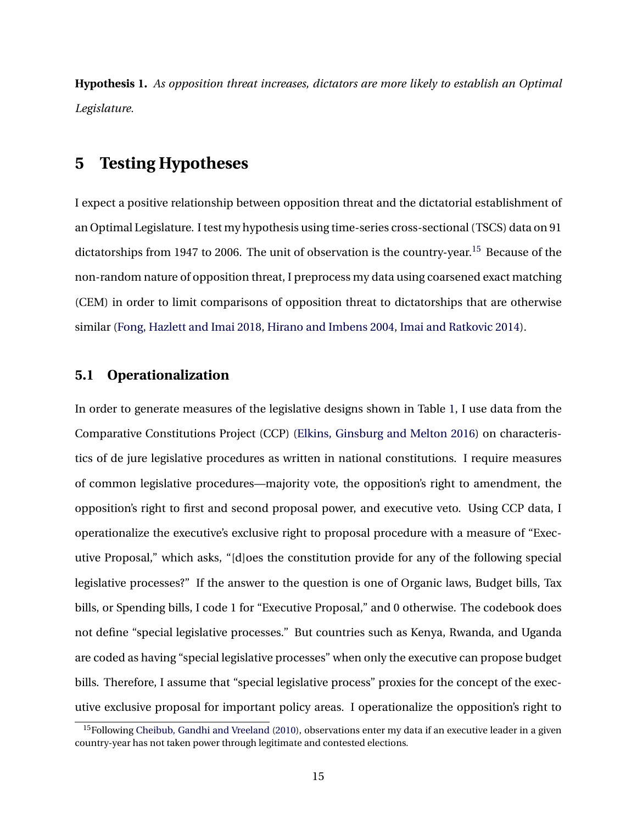**Hypothesis 1.** *As opposition threat increases, dictators are more likely to establish an Optimal Legislature.*

### **5 Testing Hypotheses**

I expect a positive relationship between opposition threat and the dictatorial establishment of an Optimal Legislature. I test my hypothesis using time-series cross-sectional (TSCS) data on 91 dictatorships from 1947 to 2006. The unit of observation is the country-year.<sup>[15](#page-15-0)</sup> Because of the non-random nature of opposition threat, I preprocess my data using coarsened exact matching (CEM) in order to limit comparisons of opposition threat to dictatorships that are otherwise similar ([Fong, Hazlett and Imai](#page-27-6) [2018](#page-27-6), [Hirano and Imbens](#page-29-4) [2004](#page-29-4), [Imai and Ratkovic](#page-29-5) [2014\)](#page-29-5).

### **5.1 Operationalization**

In order to generate measures of the legislative designs shown in Table [1](#page-13-0), I use data from the Comparative Constitutions Project (CCP) ([Elkins, Ginsburg and Melton](#page-27-7) [2016\)](#page-27-7) on characteristics of de jure legislative procedures as written in national constitutions. I require measures of common legislative procedures—majority vote, the opposition's right to amendment, the opposition's right to first and second proposal power, and executive veto. Using CCP data, I operationalize the executive's exclusive right to proposal procedure with a measure of "Executive Proposal," which asks, "[d]oes the constitution provide for any of the following special legislative processes?" If the answer to the question is one of Organic laws, Budget bills, Tax bills, or Spending bills, I code 1 for "Executive Proposal," and 0 otherwise. The codebook does not define "special legislative processes." But countries such as Kenya, Rwanda, and Uganda are coded as having "special legislative processes" when only the executive can propose budget bills. Therefore, I assume that "special legislative process" proxies for the concept of the executive exclusive proposal for important policy areas. I operationalize the opposition's right to

<span id="page-15-0"></span><sup>&</sup>lt;sup>15</sup>Following [Cheibub, Gandhi and Vreeland](#page-27-8) ([2010](#page-27-8)), observations enter my data if an executive leader in a given country-year has not taken power through legitimate and contested elections.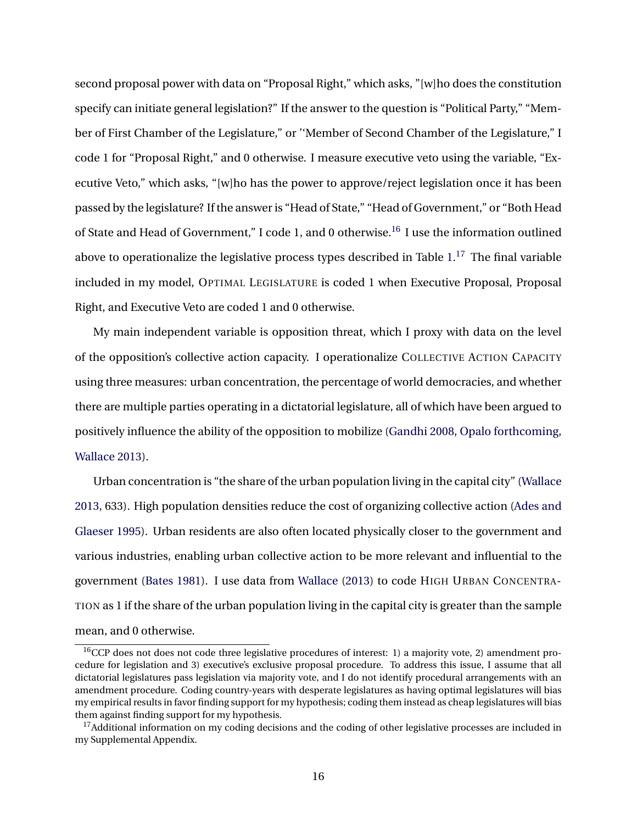second proposal power with data on "Proposal Right," which asks, "[w]ho does the constitution specify can initiate general legislation?" If the answer to the question is "Political Party," "Member of First Chamber of the Legislature," or ''Member of Second Chamber of the Legislature," I code 1 for "Proposal Right," and 0 otherwise. I measure executive veto using the variable, "Executive Veto," which asks, "[w]ho has the power to approve/reject legislation once it has been passed by the legislature? If the answer is "Head of State," "Head of Government," or "Both Head of State and Head of Government," I code 1, and 0 otherwise.<sup>[16](#page-16-0)</sup> I use the information outlined above to operationalize the legislative process types described in Table  $1.^{17}\,$  $1.^{17}\,$  $1.^{17}\,$  $1.^{17}\,$  The final variable included in my model, OPTIMAL LEGISLATURE is coded 1 when Executive Proposal, Proposal Right, and Executive Veto are coded 1 and 0 otherwise.

My main independent variable is opposition threat, which I proxy with data on the level of the opposition's collective action capacity. I operationalize COLLECTIVE ACTION CAPACITY using three measures: urban concentration, the percentage of world democracies, and whether there are multiple parties operating in a dictatorial legislature, all of which have been argued to positively influence the ability of the opposition to mobilize ([Gandhi](#page-27-0) [2008,](#page-27-0) [Opalo](#page-30-8) [forthcoming](#page-30-8), [Wallace](#page-31-1) [2013](#page-31-1)).

Urban concentration is "the share of the urban population living in the capital city" ([Wallace](#page-31-1) [2013](#page-31-1), 633). High population densities reduce the cost of organizing collective action [\(Ades and](#page-26-5) [Glaeser](#page-26-5) [1995\)](#page-26-5). Urban residents are also often located physically closer to the government and various industries, enabling urban collective action to be more relevant and influential to the government ([Bates](#page-26-6) [1981](#page-26-6)). I use data from [Wallace](#page-31-1) [\(2013\)](#page-31-1) to code HIGH URBAN CONCENTRA-TION as 1 if the share of the urban population living in the capital city is greater than the sample mean, and 0 otherwise.

<span id="page-16-0"></span><sup>&</sup>lt;sup>16</sup>CCP does not does not code three legislative procedures of interest: 1) a majority vote, 2) amendment procedure for legislation and 3) executive's exclusive proposal procedure. To address this issue, I assume that all dictatorial legislatures pass legislation via majority vote, and I do not identify procedural arrangements with an amendment procedure. Coding country-years with desperate legislatures as having optimal legislatures will bias my empirical results in favor finding support for my hypothesis; coding them instead as cheap legislatures will bias them against finding support for my hypothesis.

<span id="page-16-1"></span><sup>&</sup>lt;sup>17</sup>Additional information on my coding decisions and the coding of other legislative processes are included in my Supplemental Appendix.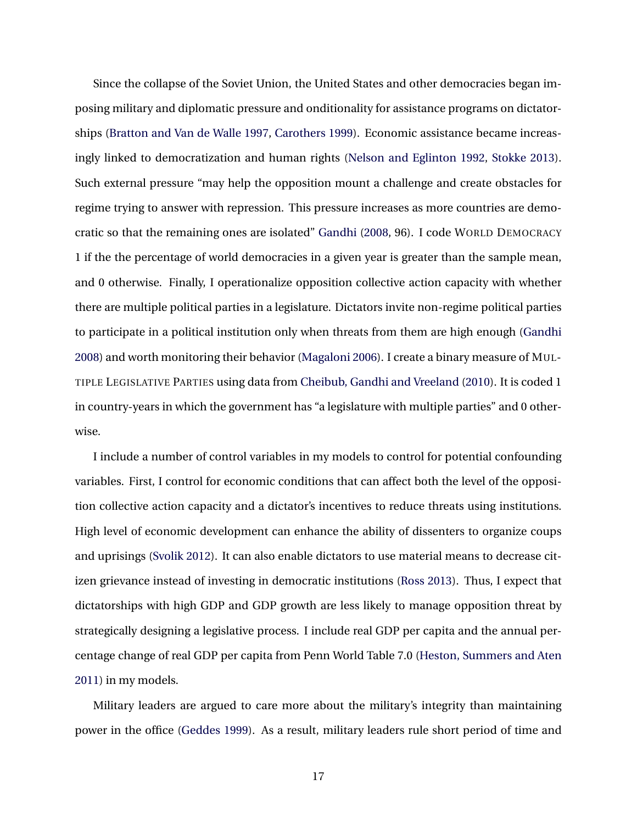Since the collapse of the Soviet Union, the United States and other democracies began imposing military and diplomatic pressure and onditionality for assistance programs on dictatorships ([Bratton and Van de Walle](#page-26-7) [1997](#page-26-7), [Carothers](#page-26-8) [1999](#page-26-8)). Economic assistance became increasingly linked to democratization and human rights ([Nelson and Eglinton](#page-30-9) [1992](#page-30-9), [Stokke](#page-31-10) [2013](#page-31-10)). Such external pressure "may help the opposition mount a challenge and create obstacles for regime trying to answer with repression. This pressure increases as more countries are democratic so that the remaining ones are isolated" [Gandhi](#page-27-0) ([2008](#page-27-0), 96). I code WORLD DEMOCRACY 1 if the the percentage of world democracies in a given year is greater than the sample mean, and 0 otherwise. Finally, I operationalize opposition collective action capacity with whether there are multiple political parties in a legislature. Dictators invite non-regime political parties to participate in a political institution only when threats from them are high enough [\(Gandhi](#page-27-0) [2008](#page-27-0)) and worth monitoring their behavior ([Magaloni](#page-30-10) [2006](#page-30-10)). I create a binary measure of MUL-TIPLE LEGISLATIVE PARTIES using data from [Cheibub, Gandhi and Vreeland](#page-27-8) ([2010](#page-27-8)). It is coded 1 in country-years in which the government has "a legislature with multiple parties" and 0 otherwise.

I include a number of control variables in my models to control for potential confounding variables. First, I control for economic conditions that can affect both the level of the opposition collective action capacity and a dictator's incentives to reduce threats using institutions. High level of economic development can enhance the ability of dissenters to organize coups and uprisings ([Svolik](#page-31-2) [2012\)](#page-31-2). It can also enable dictators to use material means to decrease citizen grievance instead of investing in democratic institutions [\(Ross](#page-31-11) [2013\)](#page-31-11). Thus, I expect that dictatorships with high GDP and GDP growth are less likely to manage opposition threat by strategically designing a legislative process. I include real GDP per capita and the annual percentage change of real GDP per capita from Penn World Table 7.0 [\(Heston, Summers and Aten](#page-28-7) [2011](#page-28-7)) in my models.

Military leaders are argued to care more about the military's integrity than maintaining power in the office [\(Geddes](#page-28-8) [1999\)](#page-28-8). As a result, military leaders rule short period of time and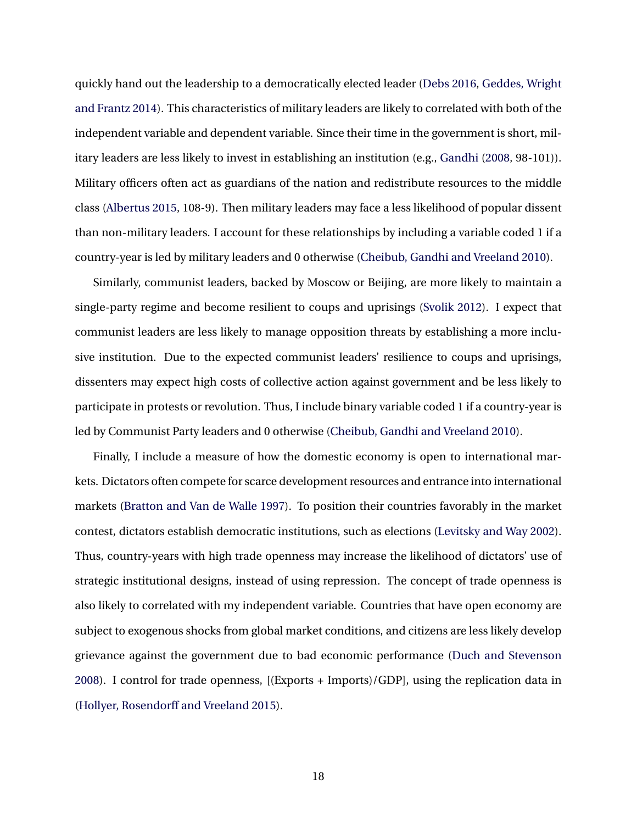quickly hand out the leadership to a democratically elected leader [\(Debs](#page-27-9) [2016,](#page-27-9) [Geddes, Wright](#page-28-9) [and Frantz](#page-28-9) [2014\)](#page-28-9). This characteristics of military leaders are likely to correlated with both of the independent variable and dependent variable. Since their time in the government is short, military leaders are less likely to invest in establishing an institution (e.g., [Gandhi](#page-27-0) ([2008](#page-27-0), 98-101)). Military officers often act as guardians of the nation and redistribute resources to the middle class [\(Albertus](#page-26-9) [2015,](#page-26-9) 108-9). Then military leaders may face a less likelihood of popular dissent than non-military leaders. I account for these relationships by including a variable coded 1 if a country-year is led by military leaders and 0 otherwise ([Cheibub, Gandhi and Vreeland](#page-27-8) [2010\)](#page-27-8).

Similarly, communist leaders, backed by Moscow or Beijing, are more likely to maintain a single-party regime and become resilient to coups and uprisings ([Svolik](#page-31-2) [2012](#page-31-2)). I expect that communist leaders are less likely to manage opposition threats by establishing a more inclusive institution. Due to the expected communist leaders' resilience to coups and uprisings, dissenters may expect high costs of collective action against government and be less likely to participate in protests or revolution. Thus, I include binary variable coded 1 if a country-year is led by Communist Party leaders and 0 otherwise ([Cheibub, Gandhi and Vreeland](#page-27-8) [2010\)](#page-27-8).

Finally, I include a measure of how the domestic economy is open to international markets. Dictators often compete for scarce development resources and entrance into international markets [\(Bratton and Van de Walle](#page-26-7) [1997\)](#page-26-7). To position their countries favorably in the market contest, dictators establish democratic institutions, such as elections [\(Levitsky and Way](#page-29-6) [2002](#page-29-6)). Thus, country-years with high trade openness may increase the likelihood of dictators' use of strategic institutional designs, instead of using repression. The concept of trade openness is also likely to correlated with my independent variable. Countries that have open economy are subject to exogenous shocks from global market conditions, and citizens are less likely develop grievance against the government due to bad economic performance ([Duch and Stevenson](#page-27-10) [2008](#page-27-10)). I control for trade openness, [(Exports + Imports)/GDP], using the replication data in ([Hollyer, Rosendorff and Vreeland](#page-29-7) [2015](#page-29-7)).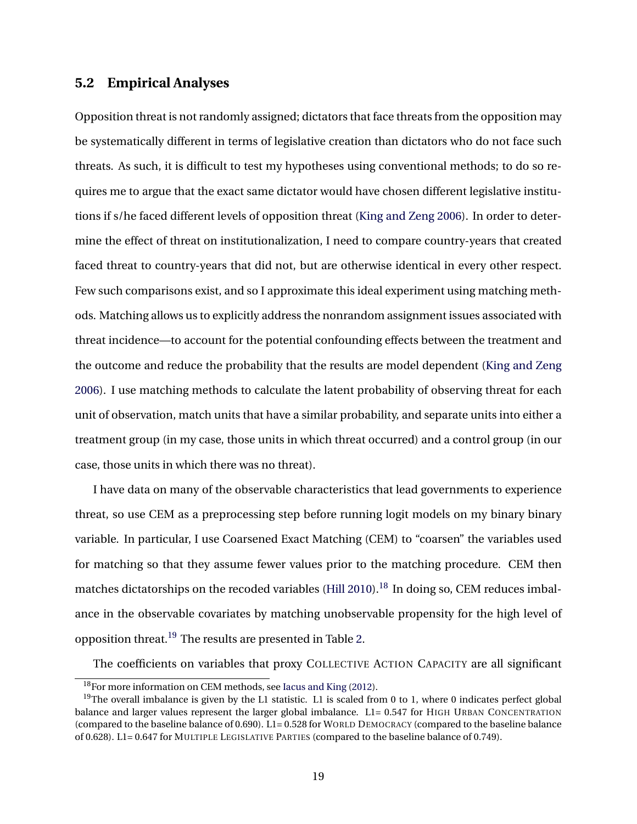### **5.2 Empirical Analyses**

Opposition threat is not randomly assigned; dictators that face threats from the opposition may be systematically different in terms of legislative creation than dictators who do not face such threats. As such, it is difficult to test my hypotheses using conventional methods; to do so requires me to argue that the exact same dictator would have chosen different legislative institutions if s/he faced different levels of opposition threat [\(King and Zeng](#page-29-8) [2006\)](#page-29-8). In order to determine the effect of threat on institutionalization, I need to compare country-years that created faced threat to country-years that did not, but are otherwise identical in every other respect. Few such comparisons exist, and so I approximate this ideal experiment using matching methods. Matching allows us to explicitly address the nonrandom assignment issues associated with threat incidence—to account for the potential confounding effects between the treatment and the outcome and reduce the probability that the results are model dependent [\(King and Zeng](#page-29-8) [2006](#page-29-8)). I use matching methods to calculate the latent probability of observing threat for each unit of observation, match units that have a similar probability, and separate units into either a treatment group (in my case, those units in which threat occurred) and a control group (in our case, those units in which there was no threat).

I have data on many of the observable characteristics that lead governments to experience threat, so use CEM as a preprocessing step before running logit models on my binary binary variable. In particular, I use Coarsened Exact Matching (CEM) to "coarsen" the variables used for matching so that they assume fewer values prior to the matching procedure. CEM then matches dictatorships on the recoded variables ([Hill](#page-28-10) [2010\)](#page-28-10).<sup>[18](#page-19-0)</sup> In doing so, CEM reduces imbalance in the observable covariates by matching unobservable propensity for the high level of opposition threat.[19](#page-19-1) The results are presented in Table [2](#page-20-0).

The coefficients on variables that proxy COLLECTIVE ACTION CAPACITY are all significant

<span id="page-19-1"></span><span id="page-19-0"></span><sup>18</sup>For more information on CEM methods, see [Iacus and King](#page-29-9) [\(2012\)](#page-29-9).

 $19$ The overall imbalance is given by the L1 statistic. L1 is scaled from 0 to 1, where 0 indicates perfect global balance and larger values represent the larger global imbalance. L1= 0.547 for HIGH URBAN CONCENTRATION (compared to the baseline balance of 0.690). L1= 0.528 for WORLD DEMOCRACY (compared to the baseline balance of 0.628). L1= 0.647 for MULTIPLE LEGISLATIVE PARTIES (compared to the baseline balance of 0.749).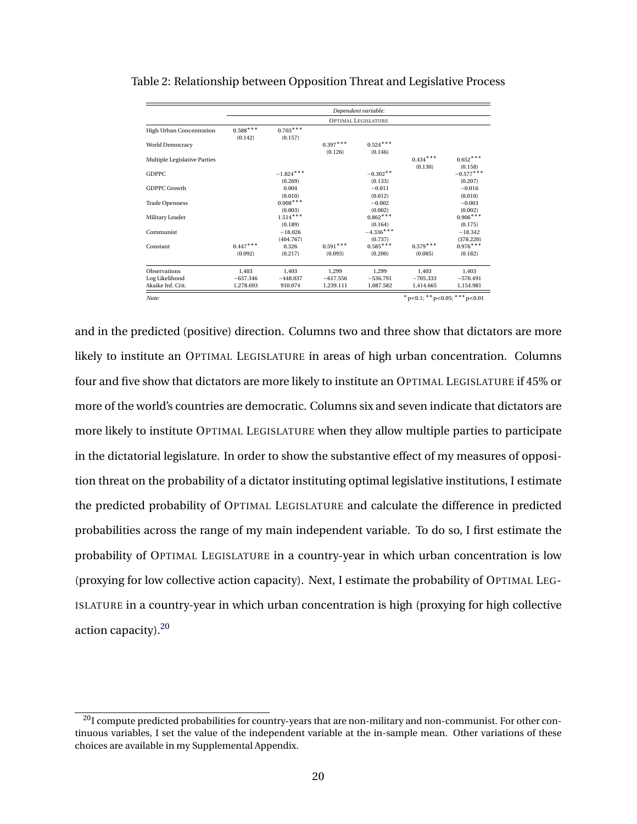|                                     | Dependent variable:             |                        |                         |                         |                         |                         |  |  |
|-------------------------------------|---------------------------------|------------------------|-------------------------|-------------------------|-------------------------|-------------------------|--|--|
|                                     | <b>OPTIMAL LEGISLATURE</b>      |                        |                         |                         |                         |                         |  |  |
| High Urban Concentration            | $0.588^{\ast\,*\,*}$<br>(0.142) | $0.703***$<br>(0.157)  |                         |                         |                         |                         |  |  |
| World Democracy                     |                                 |                        | $0.397***$<br>(0.126)   | $0.524***$<br>(0.146)   |                         |                         |  |  |
| Multiple Legislative Parties        |                                 |                        |                         |                         | $0.434***$<br>(0.130)   | $0.652***$<br>(0.158)   |  |  |
| <b>GDPPC</b>                        |                                 | $-1.824***$<br>(0.269) |                         | $-0.302**$<br>(0.133)   |                         | $-0.577***$<br>(0.207)  |  |  |
| GDPPC Growth                        |                                 | 0.004<br>(0.010)       |                         | $-0.011$<br>(0.012)     |                         | $-0.016$<br>(0.010)     |  |  |
| <b>Trade Openness</b>               |                                 | $0.008***$<br>(0.003)  |                         | $-0.002$<br>(0.002)     |                         | $-0.003$<br>(0.002)     |  |  |
| Military Leader                     |                                 | $1.514***$<br>(0.189)  |                         | $0.862***$<br>(0.164)   |                         | $0.906***$<br>(0.175)   |  |  |
| Communist                           |                                 | $-18.026$<br>(404.767) |                         | $-4.336***$<br>(0.737)  |                         | $-18.342$<br>(378.220)  |  |  |
| Constant                            | $0.447***$<br>(0.092)           | 0.326<br>(0.217)       | $0.591***$<br>(0.093)   | $0.585***$<br>(0.200)   | $0.579***$<br>(0.085)   | $0.976***$<br>(0.182)   |  |  |
| <b>Observations</b>                 | 1,403                           | 1,403                  | 1,299                   | 1,299                   | 1,403                   | 1,403                   |  |  |
| Log Likelihood<br>Akaike Inf. Crit. | $-637.346$<br>1.278.693         | $-448.037$<br>910.074  | $-617.556$<br>1,239.111 | $-536.791$<br>1,087.582 | $-705.333$<br>1,414.665 | $-570.491$<br>1.154.981 |  |  |

#### <span id="page-20-0"></span>Table 2: Relationship between Opposition Threat and Legislative Process

*Note: ∗*p*<*0.1; *∗∗*p*<*0.05; *∗∗∗*p*<*0.01

and in the predicted (positive) direction. Columns two and three show that dictators are more likely to institute an OPTIMAL LEGISLATURE in areas of high urban concentration. Columns four and five show that dictators are more likely to institute an OPTIMAL LEGISLATURE if 45% or more of the world's countries are democratic. Columns six and seven indicate that dictators are more likely to institute OPTIMAL LEGISLATURE when they allow multiple parties to participate in the dictatorial legislature. In order to show the substantive effect of my measures of opposition threat on the probability of a dictator instituting optimal legislative institutions, I estimate the predicted probability of OPTIMAL LEGISLATURE and calculate the difference in predicted probabilities across the range of my main independent variable. To do so, I first estimate the probability of OPTIMAL LEGISLATURE in a country-year in which urban concentration is low (proxying for low collective action capacity). Next, I estimate the probability of OPTIMAL LEG-ISLATURE in a country-year in which urban concentration is high (proxying for high collective action capacity). $20$ 

<span id="page-20-1"></span><sup>&</sup>lt;sup>20</sup>I compute predicted probabilities for country-years that are non-military and non-communist. For other continuous variables, I set the value of the independent variable at the in-sample mean. Other variations of these choices are available in my Supplemental Appendix.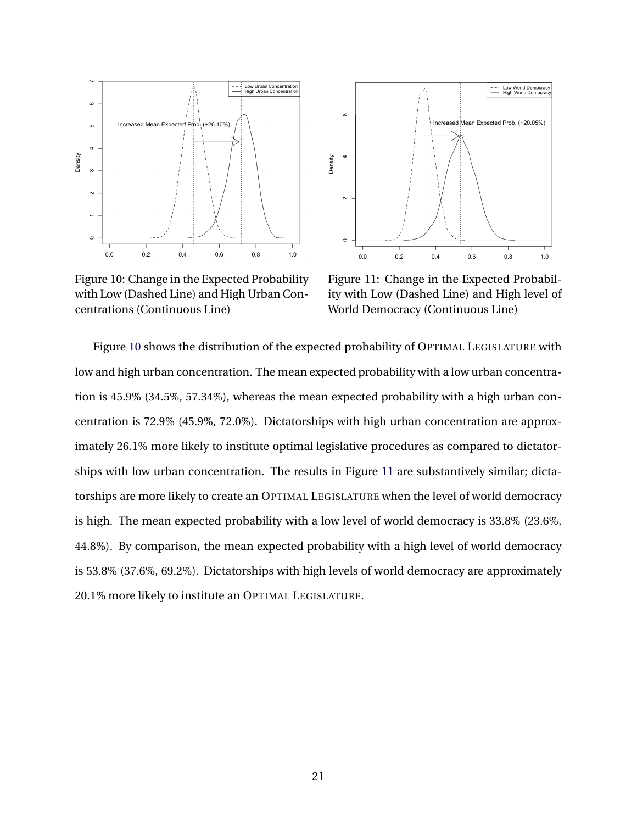<span id="page-21-0"></span>

Low World Democracy<br>High World Democracy Increased Mean Expected Prob. (+20.05%) Density  $\sim$  $\circ$  $1.0$  $0.0$  $0.2$  $0.4$  $0.6$  $0.8$ 

Figure 10: Change in the Expected Probability with Low (Dashed Line) and High Urban Concentrations (Continuous Line)

Figure 11: Change in the Expected Probability with Low (Dashed Line) and High level of World Democracy (Continuous Line)

Figure [10](#page-21-0) shows the distribution of the expected probability of OPTIMAL LEGISLATURE with low and high urban concentration. The mean expected probability with a low urban concentration is 45.9% (34.5%, 57.34%), whereas the mean expected probability with a high urban concentration is 72.9% (45.9%, 72.0%). Dictatorships with high urban concentration are approximately 26.1% more likely to institute optimal legislative procedures as compared to dictatorships with low urban concentration. The results in Figure [11](#page-21-0) are substantively similar; dictatorships are more likely to create an OPTIMAL LEGISLATURE when the level of world democracy is high. The mean expected probability with a low level of world democracy is 33.8% (23.6%, 44.8%). By comparison, the mean expected probability with a high level of world democracy is 53.8% (37.6%, 69.2%). Dictatorships with high levels of world democracy are approximately 20.1% more likely to institute an OPTIMAL LEGISLATURE.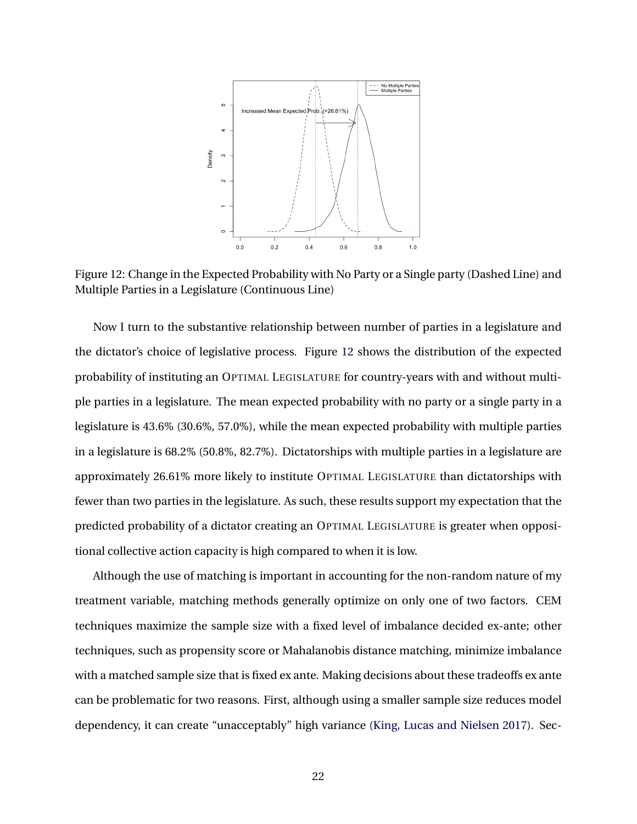<span id="page-22-0"></span>

Figure 12: Change in the Expected Probability with No Party or a Single party (Dashed Line) and Multiple Parties in a Legislature (Continuous Line)

Now I turn to the substantive relationship between number of parties in a legislature and the dictator's choice of legislative process. Figure [12](#page-22-0) shows the distribution of the expected probability of instituting an OPTIMAL LEGISLATURE for country-years with and without multiple parties in a legislature. The mean expected probability with no party or a single party in a legislature is 43.6% (30.6%, 57.0%), while the mean expected probability with multiple parties in a legislature is 68.2% (50.8%, 82.7%). Dictatorships with multiple parties in a legislature are approximately 26.61% more likely to institute OPTIMAL LEGISLATURE than dictatorships with fewer than two parties in the legislature. As such, these results support my expectation that the predicted probability of a dictator creating an OPTIMAL LEGISLATURE is greater when oppositional collective action capacity is high compared to when it is low.

Although the use of matching is important in accounting for the non-random nature of my treatment variable, matching methods generally optimize on only one of two factors. CEM techniques maximize the sample size with a fixed level of imbalance decided ex-ante; other techniques, such as propensity score or Mahalanobis distance matching, minimize imbalance with a matched sample size that is fixed ex ante. Making decisions about these tradeoffs ex ante can be problematic for two reasons. First, although using a smaller sample size reduces model dependency, it can create "unacceptably" high variance ([King, Lucas and Nielsen](#page-29-10) [2017\)](#page-29-10). Sec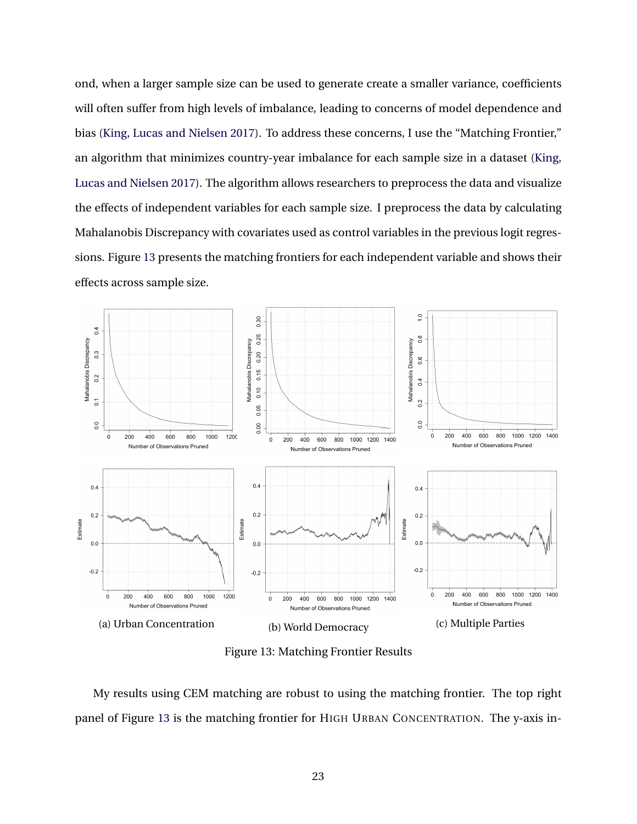ond, when a larger sample size can be used to generate create a smaller variance, coefficients will often suffer from high levels of imbalance, leading to concerns of model dependence and bias ([King, Lucas and Nielsen](#page-29-10) [2017\)](#page-29-10). To address these concerns, I use the "Matching Frontier," an algorithm that minimizes country-year imbalance for each sample size in a dataset [\(King,](#page-29-10) [Lucas and Nielsen](#page-29-10) [2017\)](#page-29-10). The algorithm allows researchers to preprocess the data and visualize the effects of independent variables for each sample size. I preprocess the data by calculating Mahalanobis Discrepancy with covariates used as control variables in the previous logit regressions. Figure [13](#page-23-0) presents the matching frontiers for each independent variable and shows their effects across sample size.

<span id="page-23-0"></span>

Figure 13: Matching Frontier Results

My results using CEM matching are robust to using the matching frontier. The top right panel of Figure [13](#page-23-0) is the matching frontier for HIGH URBAN CONCENTRATION. The y-axis in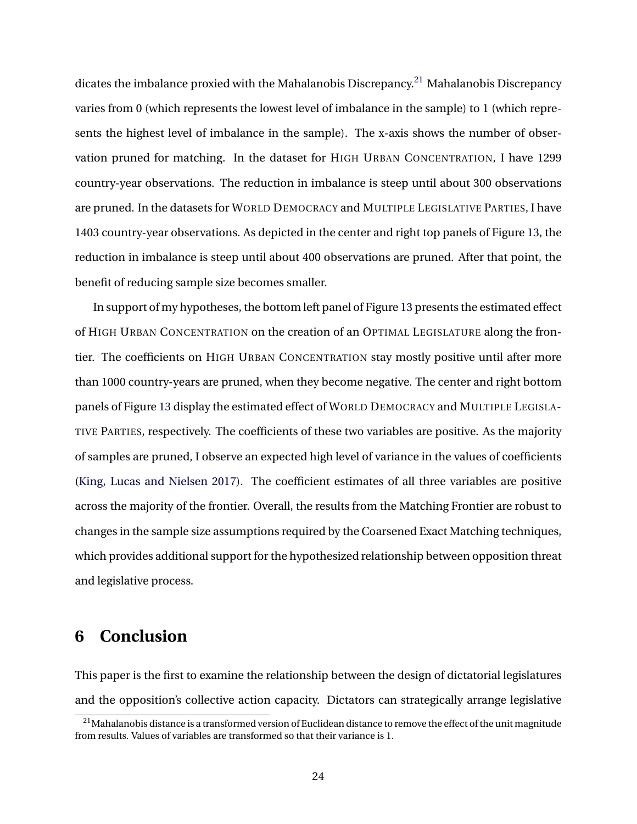dicates the imbalance proxied with the Mahalanobis Discrepancy.<sup>[21](#page-24-0)</sup> Mahalanobis Discrepancy varies from 0 (which represents the lowest level of imbalance in the sample) to 1 (which represents the highest level of imbalance in the sample). The x-axis shows the number of observation pruned for matching. In the dataset for HIGH URBAN CONCENTRATION, I have 1299 country-year observations. The reduction in imbalance is steep until about 300 observations are pruned. In the datasets for WORLD DEMOCRACY and MULTIPLE LEGISLATIVE PARTIES, I have 1403 country-year observations. As depicted in the center and right top panels of Figure [13,](#page-23-0) the reduction in imbalance is steep until about 400 observations are pruned. After that point, the benefit of reducing sample size becomes smaller.

In support of my hypotheses, the bottom left panel of Figure [13](#page-23-0) presents the estimated effect of HIGH URBAN CONCENTRATION on the creation of an OPTIMAL LEGISLATURE along the frontier. The coefficients on HIGH URBAN CONCENTRATION stay mostly positive until after more than 1000 country-years are pruned, when they become negative. The center and right bottom panels of Figure [13](#page-23-0) display the estimated effect of WORLD DEMOCRACY and MULTIPLE LEGISLA-TIVE PARTIES, respectively. The coefficients of these two variables are positive. As the majority of samples are pruned, I observe an expected high level of variance in the values of coefficients ([King, Lucas and Nielsen](#page-29-10) [2017](#page-29-10)). The coefficient estimates of all three variables are positive across the majority of the frontier. Overall, the results from the Matching Frontier are robust to changes in the sample size assumptions required by the Coarsened Exact Matching techniques, which provides additional support for the hypothesized relationship between opposition threat and legislative process.

# **6 Conclusion**

This paper is the first to examine the relationship between the design of dictatorial legislatures and the opposition's collective action capacity. Dictators can strategically arrange legislative

<span id="page-24-0"></span><sup>&</sup>lt;sup>21</sup>Mahalanobis distance is a transformed version of Euclidean distance to remove the effect of the unit magnitude from results. Values of variables are transformed so that their variance is 1.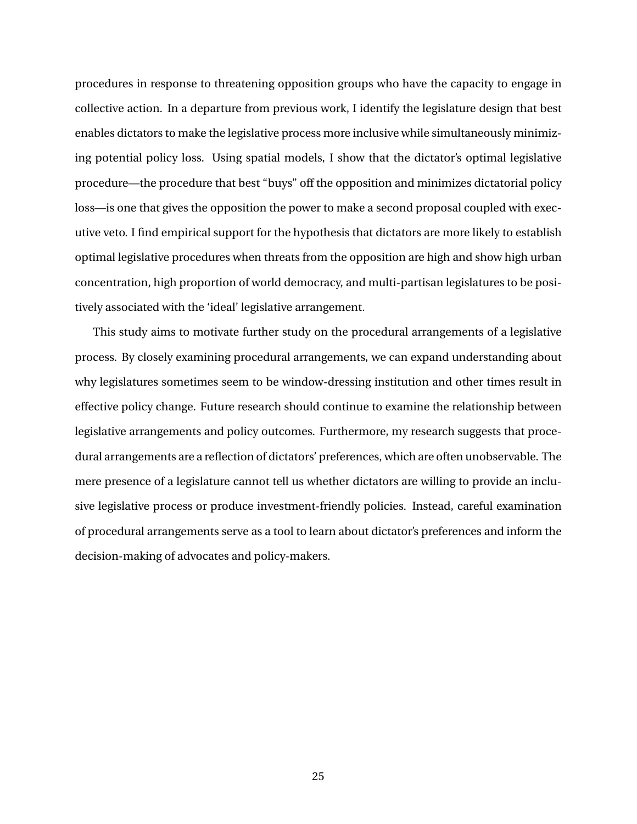procedures in response to threatening opposition groups who have the capacity to engage in collective action. In a departure from previous work, I identify the legislature design that best enables dictators to make the legislative process more inclusive while simultaneously minimizing potential policy loss. Using spatial models, I show that the dictator's optimal legislative procedure—the procedure that best "buys" off the opposition and minimizes dictatorial policy loss—is one that gives the opposition the power to make a second proposal coupled with executive veto. I find empirical support for the hypothesis that dictators are more likely to establish optimal legislative procedures when threats from the opposition are high and show high urban concentration, high proportion of world democracy, and multi-partisan legislatures to be positively associated with the 'ideal' legislative arrangement.

This study aims to motivate further study on the procedural arrangements of a legislative process. By closely examining procedural arrangements, we can expand understanding about why legislatures sometimes seem to be window-dressing institution and other times result in effective policy change. Future research should continue to examine the relationship between legislative arrangements and policy outcomes. Furthermore, my research suggests that procedural arrangements are a reflection of dictators' preferences, which are often unobservable. The mere presence of a legislature cannot tell us whether dictators are willing to provide an inclusive legislative process or produce investment-friendly policies. Instead, careful examination of procedural arrangements serve as a tool to learn about dictator's preferences and inform the decision-making of advocates and policy-makers.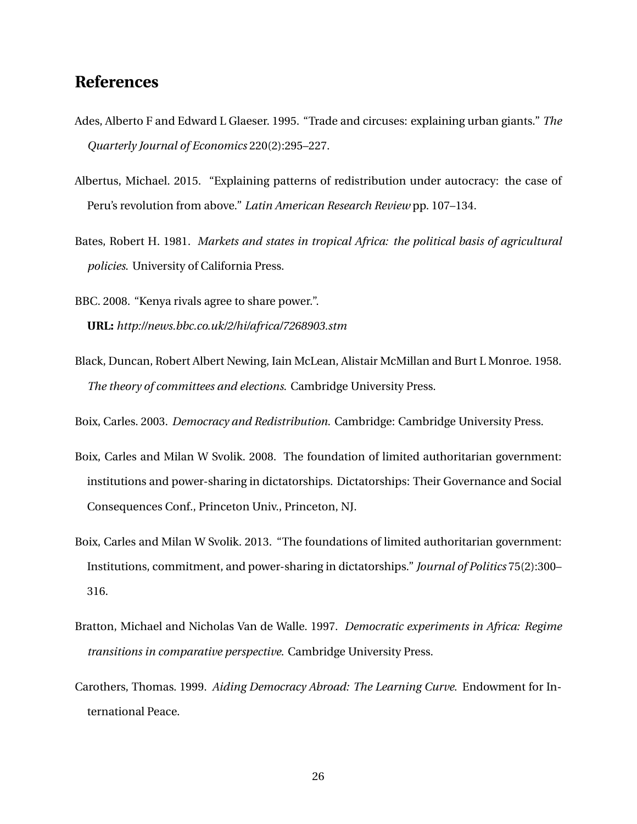# **References**

- <span id="page-26-5"></span>Ades, Alberto F and Edward L Glaeser. 1995. "Trade and circuses: explaining urban giants." *The Quarterly Journal of Economics* 220(2):295–227.
- <span id="page-26-9"></span>Albertus, Michael. 2015. "Explaining patterns of redistribution under autocracy: the case of Peru's revolution from above." *Latin American Research Review* pp. 107–134.
- <span id="page-26-6"></span>Bates, Robert H. 1981. *Markets and states in tropical Africa: the political basis of agricultural policies*. University of California Press.

<span id="page-26-0"></span>BBC. 2008. "Kenya rivals agree to share power.". **URL:** *http://news.bbc.co.uk/2/hi/africa/7268903.stm*

<span id="page-26-4"></span>Black, Duncan, Robert Albert Newing, Iain McLean, Alistair McMillan and Burt L Monroe. 1958. *The theory of committees and elections*. Cambridge University Press.

<span id="page-26-2"></span>Boix, Carles. 2003. *Democracy and Redistribution*. Cambridge: Cambridge University Press.

- <span id="page-26-1"></span>Boix, Carles and Milan W Svolik. 2008. The foundation of limited authoritarian government: institutions and power-sharing in dictatorships. Dictatorships: Their Governance and Social Consequences Conf., Princeton Univ., Princeton, NJ.
- <span id="page-26-3"></span>Boix, Carles and Milan W Svolik. 2013. "The foundations of limited authoritarian government: Institutions, commitment, and power-sharing in dictatorships." *Journal of Politics* 75(2):300– 316.
- <span id="page-26-7"></span>Bratton, Michael and Nicholas Van de Walle. 1997. *Democratic experiments in Africa: Regime transitions in comparative perspective*. Cambridge University Press.
- <span id="page-26-8"></span>Carothers, Thomas. 1999. *Aiding Democracy Abroad: The Learning Curve*. Endowment for International Peace.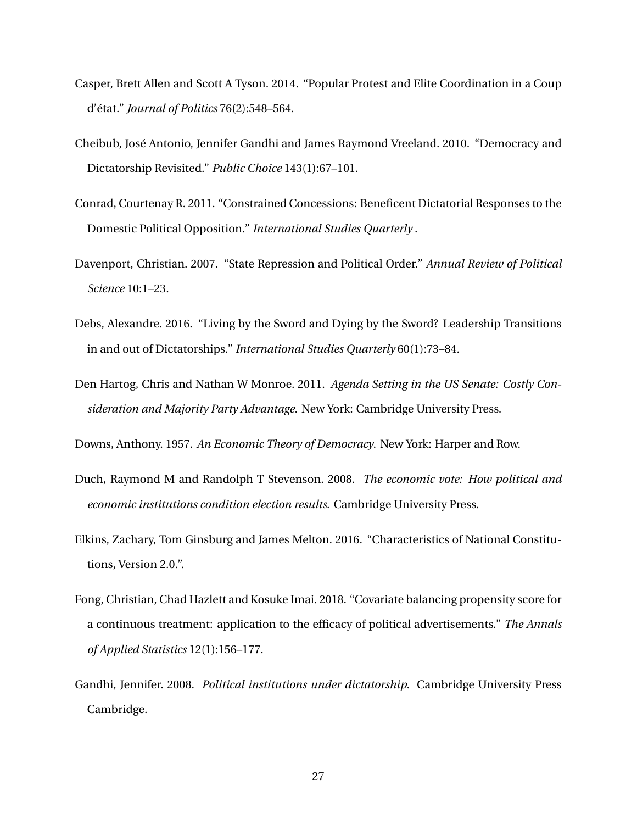- <span id="page-27-2"></span>Casper, Brett Allen and Scott A Tyson. 2014. "Popular Protest and Elite Coordination in a Coup d'état." *Journal of Politics* 76(2):548–564.
- <span id="page-27-8"></span>Cheibub, José Antonio, Jennifer Gandhi and James Raymond Vreeland. 2010. "Democracy and Dictatorship Revisited." *Public Choice* 143(1):67–101.
- <span id="page-27-1"></span>Conrad, Courtenay R. 2011. "Constrained Concessions: Beneficent Dictatorial Responses to the Domestic Political Opposition." *International Studies Quarterly* .
- <span id="page-27-3"></span>Davenport, Christian. 2007. "State Repression and Political Order." *Annual Review of Political Science* 10:1–23.
- <span id="page-27-9"></span>Debs, Alexandre. 2016. "Living by the Sword and Dying by the Sword? Leadership Transitions in and out of Dictatorships." *International Studies Quarterly* 60(1):73–84.
- <span id="page-27-5"></span>Den Hartog, Chris and Nathan W Monroe. 2011. *Agenda Setting in the US Senate: Costly Consideration and Majority Party Advantage*. New York: Cambridge University Press.

<span id="page-27-4"></span>Downs, Anthony. 1957. *An Economic Theory of Democracy*. New York: Harper and Row.

- <span id="page-27-10"></span>Duch, Raymond M and Randolph T Stevenson. 2008. *The economic vote: How political and economic institutions condition election results*. Cambridge University Press.
- <span id="page-27-7"></span>Elkins, Zachary, Tom Ginsburg and James Melton. 2016. "Characteristics of National Constitutions, Version 2.0.".
- <span id="page-27-6"></span>Fong, Christian, Chad Hazlett and Kosuke Imai. 2018. "Covariate balancing propensity score for a continuous treatment: application to the efficacy of political advertisements." *The Annals of Applied Statistics* 12(1):156–177.
- <span id="page-27-0"></span>Gandhi, Jennifer. 2008. *Political institutions under dictatorship*. Cambridge University Press Cambridge.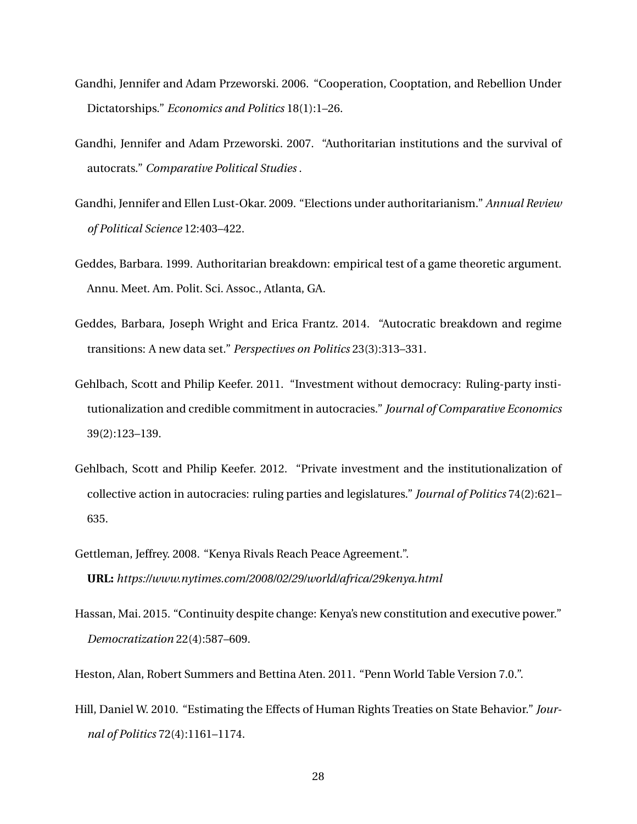- <span id="page-28-4"></span>Gandhi, Jennifer and Adam Przeworski. 2006. "Cooperation, Cooptation, and Rebellion Under Dictatorships." *Economics and Politics* 18(1):1–26.
- <span id="page-28-2"></span>Gandhi, Jennifer and Adam Przeworski. 2007. "Authoritarian institutions and the survival of autocrats." *Comparative Political Studies* .
- <span id="page-28-6"></span>Gandhi, Jennifer and Ellen Lust-Okar. 2009. "Elections under authoritarianism." *Annual Review of Political Science* 12:403–422.
- <span id="page-28-8"></span>Geddes, Barbara. 1999. Authoritarian breakdown: empirical test of a game theoretic argument. Annu. Meet. Am. Polit. Sci. Assoc., Atlanta, GA.
- <span id="page-28-9"></span>Geddes, Barbara, Joseph Wright and Erica Frantz. 2014. "Autocratic breakdown and regime transitions: A new data set." *Perspectives on Politics* 23(3):313–331.
- <span id="page-28-3"></span>Gehlbach, Scott and Philip Keefer. 2011. "Investment without democracy: Ruling-party institutionalization and credible commitment in autocracies." *Journal of Comparative Economics* 39(2):123–139.
- <span id="page-28-5"></span>Gehlbach, Scott and Philip Keefer. 2012. "Private investment and the institutionalization of collective action in autocracies: ruling parties and legislatures." *Journal of Politics* 74(2):621– 635.
- <span id="page-28-0"></span>Gettleman, Jeffrey. 2008. "Kenya Rivals Reach Peace Agreement.". **URL:** *https://www.nytimes.com/2008/02/29/world/africa/29kenya.html*
- <span id="page-28-1"></span>Hassan, Mai. 2015. "Continuity despite change: Kenya's new constitution and executive power." *Democratization* 22(4):587–609.

<span id="page-28-7"></span>Heston, Alan, Robert Summers and Bettina Aten. 2011. "Penn World Table Version 7.0.".

<span id="page-28-10"></span>Hill, Daniel W. 2010. "Estimating the Effects of Human Rights Treaties on State Behavior." *Journal of Politics* 72(4):1161–1174.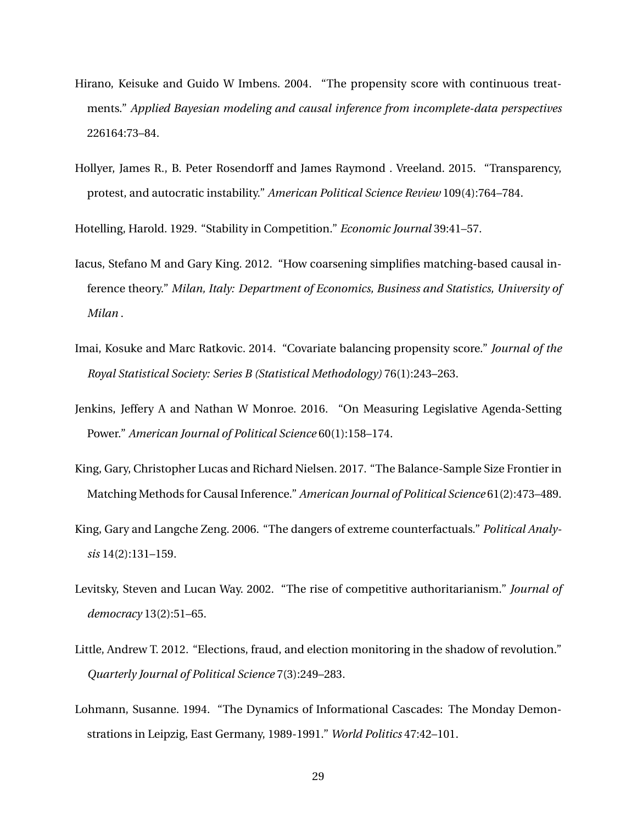- <span id="page-29-4"></span>Hirano, Keisuke and Guido W Imbens. 2004. "The propensity score with continuous treatments." *Applied Bayesian modeling and causal inference from incomplete-data perspectives* 226164:73–84.
- <span id="page-29-7"></span>Hollyer, James R., B. Peter Rosendorff and James Raymond . Vreeland. 2015. "Transparency, protest, and autocratic instability." *American Political Science Review* 109(4):764–784.

<span id="page-29-2"></span>Hotelling, Harold. 1929. "Stability in Competition." *Economic Journal* 39:41–57.

- <span id="page-29-9"></span>Iacus, Stefano M and Gary King. 2012. "How coarsening simplifies matching-based causal inference theory." *Milan, Italy: Department of Economics, Business and Statistics, University of Milan* .
- <span id="page-29-5"></span>Imai, Kosuke and Marc Ratkovic. 2014. "Covariate balancing propensity score." *Journal of the Royal Statistical Society: Series B (Statistical Methodology)* 76(1):243–263.
- <span id="page-29-1"></span>Jenkins, Jeffery A and Nathan W Monroe. 2016. "On Measuring Legislative Agenda-Setting Power." *American Journal of Political Science* 60(1):158–174.
- <span id="page-29-10"></span>King, Gary, Christopher Lucas and Richard Nielsen. 2017. "The Balance-Sample Size Frontier in Matching Methods for Causal Inference." *American Journal of Political Science* 61(2):473–489.
- <span id="page-29-8"></span>King, Gary and Langche Zeng. 2006. "The dangers of extreme counterfactuals." *Political Analysis* 14(2):131–159.
- <span id="page-29-6"></span>Levitsky, Steven and Lucan Way. 2002. "The rise of competitive authoritarianism." *Journal of democracy* 13(2):51–65.
- <span id="page-29-3"></span>Little, Andrew T. 2012. "Elections, fraud, and election monitoring in the shadow of revolution." *Quarterly Journal of Political Science* 7(3):249–283.
- <span id="page-29-0"></span>Lohmann, Susanne. 1994. "The Dynamics of Informational Cascades: The Monday Demonstrations in Leipzig, East Germany, 1989-1991." *World Politics* 47:42–101.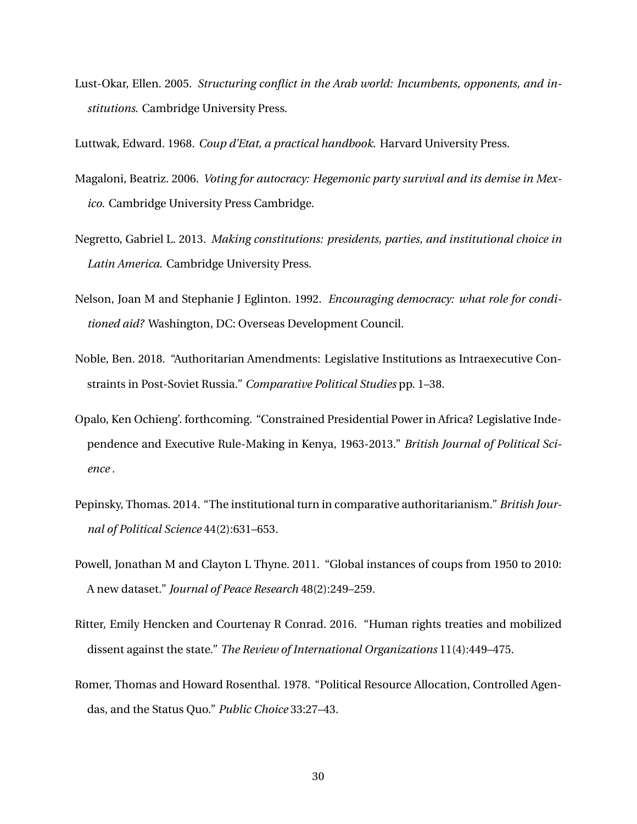<span id="page-30-0"></span>Lust-Okar, Ellen. 2005. *Structuring conflict in the Arab world: Incumbents, opponents, and institutions*. Cambridge University Press.

<span id="page-30-1"></span>Luttwak, Edward. 1968. *Coup d'Etat, a practical handbook*. Harvard University Press.

- <span id="page-30-10"></span>Magaloni, Beatriz. 2006. *Voting for autocracy: Hegemonic party survival and its demise in Mexico*. Cambridge University Press Cambridge.
- <span id="page-30-6"></span>Negretto, Gabriel L. 2013. *Making constitutions: presidents, parties, and institutional choice in Latin America*. Cambridge University Press.
- <span id="page-30-9"></span>Nelson, Joan M and Stephanie J Eglinton. 1992. *Encouraging democracy: what role for conditioned aid?* Washington, DC: Overseas Development Council.
- <span id="page-30-4"></span>Noble, Ben. 2018. "Authoritarian Amendments: Legislative Institutions as Intraexecutive Constraints in Post-Soviet Russia." *Comparative Political Studies* pp. 1–38.
- <span id="page-30-8"></span>Opalo, Ken Ochieng'. forthcoming. "Constrained Presidential Power in Africa? Legislative Independence and Executive Rule-Making in Kenya, 1963-2013." *British Journal of Political Science* .
- <span id="page-30-5"></span>Pepinsky, Thomas. 2014. "The institutional turn in comparative authoritarianism." *British Journal of Political Science* 44(2):631–653.
- <span id="page-30-2"></span>Powell, Jonathan M and Clayton L Thyne. 2011. "Global instances of coups from 1950 to 2010: A new dataset." *Journal of Peace Research* 48(2):249–259.
- <span id="page-30-3"></span>Ritter, Emily Hencken and Courtenay R Conrad. 2016. "Human rights treaties and mobilized dissent against the state." *The Review of International Organizations* 11(4):449–475.
- <span id="page-30-7"></span>Romer, Thomas and Howard Rosenthal. 1978. "Political Resource Allocation, Controlled Agendas, and the Status Quo." *Public Choice* 33:27–43.